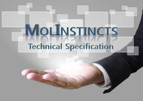# MOLINSTINCTS **Technical Specification**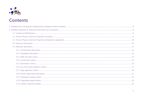

# **Contents**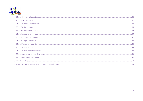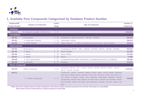

# **1. Available Pure Compounds Categorized by Database Product Number**

| Database(DB)                                          |                                          | Carbon   |                                                                                                                                                                                                                                                                                                                                                                                                                                                                                                                            | <b>Number of</b> |
|-------------------------------------------------------|------------------------------------------|----------|----------------------------------------------------------------------------------------------------------------------------------------------------------------------------------------------------------------------------------------------------------------------------------------------------------------------------------------------------------------------------------------------------------------------------------------------------------------------------------------------------------------------------|------------------|
| <b>Product Number</b>                                 | <b>Category of Compounds</b>             | Range    | <b>Type of Compounds</b>                                                                                                                                                                                                                                                                                                                                                                                                                                                                                                   | <b>Compounds</b> |
| <b>Enterprise</b>                                     |                                          |          |                                                                                                                                                                                                                                                                                                                                                                                                                                                                                                                            |                  |
| <b>Enterprise</b>                                     | All compounds available in MOLINSTINCTS  | $0 - 57$ |                                                                                                                                                                                                                                                                                                                                                                                                                                                                                                                            | 2,854,056        |
| <b>Free Radicals</b>                                  |                                          |          |                                                                                                                                                                                                                                                                                                                                                                                                                                                                                                                            |                  |
| <b>DB #01</b>                                         | • Free Radicals*                         | $1 - 23$ | Compounds in DB #02 and #03 ( = DB #02 + DB #03)                                                                                                                                                                                                                                                                                                                                                                                                                                                                           | 384,565          |
| <b>DB #02</b>                                         | Hydrocarbon Radicals                     | $1 - 23$ | Hydrocarbon radicals                                                                                                                                                                                                                                                                                                                                                                                                                                                                                                       | 284,033          |
| <b>DB #03</b>                                         | $\blacktriangleright$ Hetero Radicals    | $1 - 10$ | Hetero Radicals 1 - 10 Hetero (including atoms other than C and H) radicals                                                                                                                                                                                                                                                                                                                                                                                                                                                | 100,532          |
| <b>Hydrocarbonds</b>                                  |                                          |          |                                                                                                                                                                                                                                                                                                                                                                                                                                                                                                                            |                  |
| <b>DB #04</b>                                         | • Hydrocarbons                           | $1 - 57$ | Compounds in DB #05 - #09 ( = DB #05 + DB #06 + DB #07 + DB #08 + DB #09)                                                                                                                                                                                                                                                                                                                                                                                                                                                  | 959,269          |
| <b>DB #05</b>                                         | $\blacktriangleright$ Alkane             | $1 - 57$ | Alkane (Paraffin)                                                                                                                                                                                                                                                                                                                                                                                                                                                                                                          | 212,592          |
| <b>DB #06</b>                                         | $\blacktriangleright$ Alkene             | $2 - 30$ | Alkene (Olefin)                                                                                                                                                                                                                                                                                                                                                                                                                                                                                                            | 247,638          |
| <b>DB #07</b>                                         | $\blacktriangleright$ Alkyne             | $2 - 28$ | Alkyne                                                                                                                                                                                                                                                                                                                                                                                                                                                                                                                     | 77,600           |
| <b>DB #08</b>                                         | $\blacktriangleright$ Cyclo-Hydrocarbons | $3 - 57$ | Cycloalkane(Cycloparaffins, Naphthenes), Cycloalkene(Cycloolefins), Cycloalkyene                                                                                                                                                                                                                                                                                                                                                                                                                                           | 169,568          |
| <b>DB #09</b>                                         | $\blacktriangleright$ Aromatics          | $4 - 57$ | Aromatics                                                                                                                                                                                                                                                                                                                                                                                                                                                                                                                  | 251,871          |
| <b>Hetero Compounds</b>                               |                                          |          |                                                                                                                                                                                                                                                                                                                                                                                                                                                                                                                            |                  |
| <b>DB #10</b>                                         | • Hetero Compounds                       | $0 - 57$ | Compounds in DB #11 - #17 ( = DB #11 + DB #12 + DB #13 + DB #14 + DB #15 + DB #16 +<br>$DB #17 + DB #35 + DB #36)$                                                                                                                                                                                                                                                                                                                                                                                                         | 1,510,223        |
| <b>DB #11</b><br>O-Hetero Compounds<br>$0 - 57$<br>►. |                                          |          | O-heterocyclic, carbonyl compound, aldehyde, ketone, ketene, carbonyl hydrate, hemiacetal,<br>acetal, enol, enolether, hydroxy compound, alcohol, prim. alcohol, sec. alcohol, tert. alcohol, 1,2-<br>diol, phenol, 1,2-diphenol, enediol, ether, dialkylether, alkylarylether, diarylether, peroxide,<br>hydroperoxide, carboxylic acid, carboxylic acid ester, lactone, carboxylic acid anhydride, carbonic<br>acid monoester, carbonic acid diester, alpha-hydroxyacid, carboxylic acid deriv., carbonic acid<br>deriv. | 219,768          |

**\* Note: Due to the unstable nature of radical compounds, some thermo-physico-chemical properties and molecular information are unavailable. Total number of sets of information per radical compound is around 380.**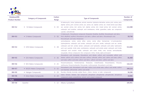

| Database(DB)          |                              | <b>Carbon</b> |                                                                                                                                                                                                                                                                                                                                                                                                                                                                                                                                                                                     | <b>Number of</b> |
|-----------------------|------------------------------|---------------|-------------------------------------------------------------------------------------------------------------------------------------------------------------------------------------------------------------------------------------------------------------------------------------------------------------------------------------------------------------------------------------------------------------------------------------------------------------------------------------------------------------------------------------------------------------------------------------|------------------|
| <b>Product Number</b> | <b>Category of Compounds</b> | Range         | <b>Type of Compounds</b>                                                                                                                                                                                                                                                                                                                                                                                                                                                                                                                                                            | <b>Compounds</b> |
| <b>DB #12</b>         | N-Hetero Compounds<br>▶.     | $0 - 54$      | N-heterocyclic, imine, hydrazone, aminal, enamine, hydrazine derivative, amine, prim. amine, prim.<br>aliphat. amine, prim. aromat. amine, sec. amine, sec. aliphat. amine, sec. mixed amine (aryl alkyl),<br>sec. aromat. amine, tert. amine, tert. aliphat. amine, tert. mixed amine, tert. aromat. amine,<br>carboxylic acid amidine, carboxylic acid amidrazone, nitrile, guanidine, azide, azo compound,<br>cyanate, carbodiimide                                                                                                                                              | 114,388          |
| <b>DB #13</b>         | S-Hetero Compounds           | $0 - 56$      | S-heterocyclic, thiocarbonyl compound, thioacetal, thioether, disulfide, thiocarboxylic acid deriv.,<br>thiol, alkylthiol, arylthiol, thiocarbonic acid deriv., sulfenic acid deriv., thiocarboxylic acid,<br>thiocarboxylic acid ester, thiolactone                                                                                                                                                                                                                                                                                                                                | 59,748           |
| <b>DB #14</b>         | • O/N-Hetero Compounds       | $0 - 38$      | semicarbazone, oxime, oxime ether, oxime, oxime ether, hemiaminal, 1,2-aminoalcohol,<br>hydroxylamine, carboxylic acid amide, carboxylic acid prim. amide, carboxylic acid sec. amide,<br>carboxylic acid tert. amide, lactam, carboxylic acid hydrazide, carboxylic acid azide, hydroxamic<br>acid, acyl cyanide, imido ester, oxohetarene, carboxylic acid amide acetal, carboxylic acid imide,<br>carboxylic acid unsubst. imide, carboxylic acid subst. imide, urea, isourea, semicarbazide,<br>isocyanate, nitroso compound, nitro compound, nitrite, nitrate, alpha-aminoacid | 513,065          |
| <b>DB #15</b>         | • O/S-Hetero Compounds       | $0 - 36$      | thiocarbonic acid monoester, thiocarbonic acid diester, sulfuric acid monoester, sulfuric acid<br>diester, sulfonic acid, sulfonic acid ester, sulfone, sulfoxide, sulfinic acid, sulfinic acid ester, sulfinic<br>acid ester, sulfinic acid ester, sulfuric acid deriv., sulfonic acid deriv., sulfinic acid deriv.                                                                                                                                                                                                                                                                | 81,469           |
| <b>DB #16</b>         | N/S-Hetero Compounds         | $0 - 25$      | thiosemicarbazone, thiohemiaminal, thiolactam, imidothioester, thioxohetarene,<br>thiourea,<br>isothiourea, thiosemicarbazide, thiocyanate, isothiocyanate, thiocarbamic acid deriv.                                                                                                                                                                                                                                                                                                                                                                                                | 116,134          |
| <b>DB #17</b>         | N/O/S-Hetero Compounds       | $0 - 32$      | thiocarbamic acid, thiocarbamic acid ester, sulfuric acid amide ester, sulfuric acid amide, sulfuric<br>acid diamide, sulfonamide, sulfinic acid amide                                                                                                                                                                                                                                                                                                                                                                                                                              | 349,114          |
| <b>DB #35</b>         | Halogen Compounds            | $0 - 29$      | fluoride, chloride, bromide, iodide, fluoro-, chloro-, bromo- or iodo- compounds                                                                                                                                                                                                                                                                                                                                                                                                                                                                                                    | 50,290           |
| <b>DB #36</b>         | Extra-Hetero Compounds       | $0 - 29$      | silane, silinane, silolane, silyl compound, phosphane, phosphonite, phosphonate, phosphoryl<br>compound, arsane, arsanethione, arisonic acid, arsanyl compound                                                                                                                                                                                                                                                                                                                                                                                                                      | 10,086           |
| <b>Fuels</b>          |                              |               |                                                                                                                                                                                                                                                                                                                                                                                                                                                                                                                                                                                     |                  |
| <b>DB #18</b>         | Gasoline                     | $5 - 12$      | Alkane, Cycloalkane                                                                                                                                                                                                                                                                                                                                                                                                                                                                                                                                                                 | 105,951          |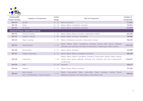

| Database(DB)          |                                                         | <b>Carbon</b> |                                                                                                                                                                                                       | <b>Number of</b> |
|-----------------------|---------------------------------------------------------|---------------|-------------------------------------------------------------------------------------------------------------------------------------------------------------------------------------------------------|------------------|
| <b>Product Number</b> | <b>Category of Compounds</b>                            | Range         | <b>Type of Compounds</b>                                                                                                                                                                              | <b>Compounds</b> |
| DB #19                | Jet-fuel                                                | $10 - 15$     | Alkane, Aromatics                                                                                                                                                                                     | 171,891          |
| <b>DB #20</b>         | <b>Diesel</b>                                           | $12 - 25$     | Alkane, Alkene, Cycloalkane, Aromatics                                                                                                                                                                | 735,021          |
| <b>DB #21</b>         | <b>Bio-Diesel</b>                                       | $12 - 19$     | Alkane, Alkene, Cycloalkane, Aromatics                                                                                                                                                                | 672,068          |
|                       | <b>Chemical Process related Compounds</b>               |               |                                                                                                                                                                                                       |                  |
| <b>DB #22</b>         | <b>Thermal Cracking</b>                                 | $1 - 15$      | Alkane, Alkene, Alkyne, Aromatics, Hydrocarbon radicals                                                                                                                                               | 491,048          |
| <b>DB #23</b>         | Catalytic Cracking                                      | $1 - 40$      | Alkane, Alkene, Aromatics, Cycloalkane                                                                                                                                                                | 798,965          |
| <b>DB #24</b>         | <b>Hydro Cracking</b>                                   | $5 - 19$      | Alkane, Cycloalkane, Aromatics, Hydrocarbon radicals                                                                                                                                                  | 768,135          |
| <b>DB #25</b>         | Desulfurization                                         | $1 - 20$      | Alkane, Alkene, Alkyne, Cycloalkane, Aromatics, alcohol, ether, ketone, aldehyde,<br>carboxylic acid, carboxylic acid ester, N-heterocyclic, S-heterocyclic, Hetero radicals                          | 1,012,022        |
| <b>DB #26</b>         | Isomerization                                           | $4 - 15$      | Alkane, Alkene, Aromatics                                                                                                                                                                             | 231,999          |
| <b>DB #27</b>         | Catalytic Reforming                                     | $6 - 15$      | Alkane, Alkene, Alkyne, Cycloalkane, Aromatics                                                                                                                                                        | 408,199          |
| <b>DB #28</b>         | Combustion                                              | $1 - 24$      | Alkane, Alkene, Alkyne, Cycloalkane, Aromatics, Hydrocarbon radicals, Hetero radicals,<br>alcohol, ether, ketone, aldehyde, carboxylic acid, carboxylic acid ester, N-heterocyclic,<br>S-heterocyclic | 1,349,567        |
| <b>DB #29</b>         | Soot                                                    | $13 - 24$     | Aromatics                                                                                                                                                                                             | 248,137          |
| <b>DB #30</b>         | Naphtha                                                 | $1 - 15$      | Alkane, Alkene, Alkyne, Aromatics                                                                                                                                                                     | 273,290          |
| <b>DB #31</b>         | Gas-To-Liquid<br>(GTL, CH4 Reforming + Fischer-Tropsch) | $1 - 57$      | Parafin, Cyclo-parafin, Olefin, Cyclo-olefin, Diene, Aormatics, Alcohol, Phenol,<br>Aldehyde, Carboxylic acid, Ester, Ketone, Acetal, Ether, Furan                                                    | 858,442          |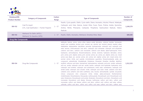

| Database(DB)<br><b>Product Number</b> | <b>Category of Compounds</b>                                 | <b>Carbon</b><br>Range | <b>Type of Compounds</b>                                                                                                                                                                                                                                                                                                                                                                                                                                                                                                                                                                                                                                                                                                                                                                                                                                                                                                                                                                                                                                                                                                                                                                                                                                                                                                                                                                                                                                                                                                                                                                                                                                                                                                                                                                                                                                                                                                                                                                                                                                                                                                                                                                            | <b>Number of</b><br><b>Compounds</b> |
|---------------------------------------|--------------------------------------------------------------|------------------------|-----------------------------------------------------------------------------------------------------------------------------------------------------------------------------------------------------------------------------------------------------------------------------------------------------------------------------------------------------------------------------------------------------------------------------------------------------------------------------------------------------------------------------------------------------------------------------------------------------------------------------------------------------------------------------------------------------------------------------------------------------------------------------------------------------------------------------------------------------------------------------------------------------------------------------------------------------------------------------------------------------------------------------------------------------------------------------------------------------------------------------------------------------------------------------------------------------------------------------------------------------------------------------------------------------------------------------------------------------------------------------------------------------------------------------------------------------------------------------------------------------------------------------------------------------------------------------------------------------------------------------------------------------------------------------------------------------------------------------------------------------------------------------------------------------------------------------------------------------------------------------------------------------------------------------------------------------------------------------------------------------------------------------------------------------------------------------------------------------------------------------------------------------------------------------------------------------|--------------------------------------|
| <b>DB #32</b>                         | Coal-To-Liquid<br>(CTL, Coal Gasification + Fischer-Tropsch) | $1 - 57$               | Parafin, Cyclo-parafin, Olefin, Cyclo-olefin, Diene, Aromatics, Alcohol, Phenol, Aldehyde,<br>Carboxylic acid, Ester, Ketone, Acetal, Ether, Furan, Pyran, Pridine, Indole, Quinoline,<br>Aniline, Nitrile, Phenazine, Carbazole, Thiophene, Hydrocarbon Radicals, Hetero<br>Radicals                                                                                                                                                                                                                                                                                                                                                                                                                                                                                                                                                                                                                                                                                                                                                                                                                                                                                                                                                                                                                                                                                                                                                                                                                                                                                                                                                                                                                                                                                                                                                                                                                                                                                                                                                                                                                                                                                                               | 1,249,279                            |
| DB #33                                | Methanol-To-Olefin (MTO) /<br>Methanol-To-Gasoline (MTG)     | $1 - 57$               | Parafin, Olefin, Aromatics, Methanol, Dimethyl Ether, Water                                                                                                                                                                                                                                                                                                                                                                                                                                                                                                                                                                                                                                                                                                                                                                                                                                                                                                                                                                                                                                                                                                                                                                                                                                                                                                                                                                                                                                                                                                                                                                                                                                                                                                                                                                                                                                                                                                                                                                                                                                                                                                                                         | 689,698                              |
| <b>Drug-like Compounds</b>            |                                                              |                        |                                                                                                                                                                                                                                                                                                                                                                                                                                                                                                                                                                                                                                                                                                                                                                                                                                                                                                                                                                                                                                                                                                                                                                                                                                                                                                                                                                                                                                                                                                                                                                                                                                                                                                                                                                                                                                                                                                                                                                                                                                                                                                                                                                                                     |                                      |
| <b>DB #34</b>                         | Drug-like Compounds                                          | $1 - 57$               | aldehyde, ketone, oxime, oxime ether, ketene acetal derivative, carbonyl hydrate, hemiacetal,<br>acetal, enol, enolether, alcohol, prim. alcohol, sec. alcohol, tert. alcohol, phenol, enediol, ether,<br>dialkylether, alkylarylether, diarylether, peroxide, hydroperoxide, carboxylic acid, carboxylic acid<br>ester, lactone, orthocarboxylic acid deriv., carboxylic acid orthoester, carboxylic acid anhydride,<br>carbonic acid deriv., carbonic acid monoester, carbonic acid diester, alpha-hydroxyacid, imine,<br>hydrazone, semicarbazone, thiosemicarbazone, aminal, enamine, hydrazine derivative, amine,<br>prim. amine, prim. aliphat. amine, prim. aromat. amine, sec. amine, sec. aliphat. amine, sec. mixed<br>amine (aryl alkyl), sec. aromat. amine, tert. amine, tert. aliphat. amine, tert. mixed amine, tert.<br>aromat. amine, nitrile, acyl cyanide, iminohetarene, quanidine, thiosemicarbazide, azide, azo<br>compound, carbodiimide, thioaldehyde, thioketone, thioacetal, thioether, disulfide, alkylthiol,<br>arylthiol, sulfurous acid deriv, hemiaminal, hydroxylamine, carboxylic acid prim. amide, carboxylic<br>acid sec. amide, carboxylic acid tert. amide, lactam, carboxylic acid hydrazide, hydroxamic acid,<br>carboxylic acid amidine, carboxylic acid amidrazone, imido ester, oxohetarene, carboxylic acid<br>amide acetal, carboxylic acid unsubst. imide, carboxylic acid subst. imide, carbamic acid deriv,<br>carbamic acid, carbamic acid ester (urethane), urea, isourea, semicarbazide, cyanate, isocyanate,<br>nitroso compound, nitro compound, nitrite, nitrate, alpha-aminoacid, thiohemiaminal,<br>imidothioester, thioxohetarene, thiocyanate, isothiocyanate, thiocarboxylic acid, thiocarboxylic acid<br>ester, thiolactone, thiocarboxylic acid amide, thiolactam, thiocarbonic acid deriv., thiocarbonic acid<br>monoester, thiocarbonic acid diester, thiourea, isothiourea, sulfuric acid deriv., sulfuric acid<br>monoester, sulfuric acid diester, sulfonic acid deriv., sulfonic acid, sulfonic acid ester, sulfone,<br>sulfoxide, sulfinic acid deriv., sulfinic acid, sulfinic acid ester, sulfenic acid deriv., sulfenic acid, | 1,312,153                            |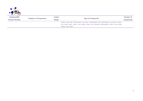

| Database(DB)          |                              | Carbon<br>Range |                                                                                                     | Number of        |
|-----------------------|------------------------------|-----------------|-----------------------------------------------------------------------------------------------------|------------------|
| <b>Product Number</b> | <b>Category of Compounds</b> |                 | <b>Type of Compounds</b>                                                                            | <b>Compounds</b> |
|                       |                              |                 | sulfenic acid ester, thiocarbamic acid deriv., thiocarbamic acid, thiocarbamic acid ester, sulfuric |                  |
|                       |                              |                 | acid amide ester, sulfuric acid amide, sulfuric acid diamide, sulfonamide, sulfinic acid amide,     |                  |
|                       |                              |                 | sulfenic acid amide                                                                                 |                  |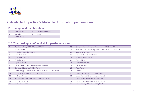

# **2. Available Properties & Molecular Information per compound**

#### **2.1. Compound Identification**

| <b>2D Structure</b> | <b>Molecular Weight</b> |
|---------------------|-------------------------|
| <b>Formula</b>      | InChI                   |
| <b>IUPAC Name</b>   |                         |

#### **2.2. Thermo-Physico-Chemical Properties (constant)**

|                | Absolute Entropy of Ideal Gas at 298.15 K and 1 bar           | <b>19</b> | Standard State Enthalpy of Formation at 298.15 K and 1 bar     |
|----------------|---------------------------------------------------------------|-----------|----------------------------------------------------------------|
|                | Acentric Factor                                               | 20        | Standard State Gibbs Energy of Formation at 298.15 K and 1 bar |
| $\mathbf{3}$   | Critical Compressibility Factor                               | 21        | Van Der Waals Area                                             |
| 4              | <b>Critical Pressure</b>                                      | 22        | Van Der Waals Reduced Volume                                   |
| 5              | Critical Temperature                                          | 23        | <b>Magnetic Susceptibility</b>                                 |
| 6              | Critical Volume                                               | 24        | Polarizability                                                 |
| $\overline{7}$ | Dipole Moment                                                 | 25        | Ionization Potential                                           |
| 8              | Enthalpy of Formation for Ideal Gas at 298.15 K               | 26        | Electron affinity                                              |
| 9 <sup>°</sup> | Enthalpy of Fusion at Melting Point                           | 27        | Flash Point                                                    |
| 10             | Gibbs Energy of Formation for Ideal Gas at 298.15 K and 1 bar | 28        | Parachor                                                       |
| 11             | Liquid Molar Volume at 298.15 K(1/LDE298)                     | 29        | Lower Flammability Limit Temperature                           |
| 12             | Molecular Weight                                              | 30        | Lower Flammability Limit Volume Percent                        |
| 13             | Net Standard State Enthalpy of Combustion at 298.15 K         | 31        | Upper Flammability Limit Temperature                           |
| 14             | Normal Boiling Point                                          | 32        | Upper Flammability Limit Volume Percent                        |
| 15             | Radius of Gyration                                            | 33        | Liquid Density at Normal Boiling Point                         |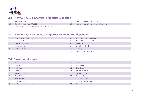

#### **2.2. Thermo-Physico-Chemical Properties (constant)**

|      | Refractive Index                                      | Heat of Vaporization at 298.15K              |
|------|-------------------------------------------------------|----------------------------------------------|
|      | Solubility Parameter at 298.15 K                      | Heat of Vaporization at Normal Boiling Point |
| - 18 | Standard State Absolute Entropy at 298.15 K and 1 bar |                                              |

#### **2.3. Thermo-Physico-Chemical Properties (temperature-dependent)**

| Heat Capacity of Ideal Gas | 6         | Thermal Conductivity of Liquid |
|----------------------------|-----------|--------------------------------|
| Heat Capacity of Liquid    |           | Thermal Conductivity of Gas    |
| Heat of Vaporization       | 8         | Vapor Pressure of Liquid       |
| Liquid Density             | 9         | Viscosity of Liquid            |
| Surface Tension            | <b>10</b> | Viscosity of Gas               |
|                            | 11        | Second Virial Coefficient      |

#### **2.4. Quantum Information**

|    | Atoms                    | 11 | Primitive Shells          |
|----|--------------------------|----|---------------------------|
|    | Charge                   | 12 | Virial Ratio              |
| 3  | Multiplicity             | 13 | <b>Total Energy</b>       |
| 4  | Electrons                | 14 | <b>Atomic Numbers</b>     |
| 5  | Alpha electrons          | 15 | Nuclear Charges           |
| -6 | Beta electrons           | 16 | Cartesian Coord.          |
|    | Basis functions          | 17 | Cartesian Gradient        |
| 8  | Contracted Shells        | 18 | Cartesian Force Constants |
| 9  | Highest Angular Momentum | 19 | Dipole Moment             |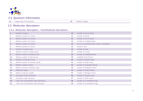

# **2.4. Quantum Information**

 Largest Deg. of Contraction **20** Mulliken Charges 

# **2.5. Molecular descriptors 2.5.1. Constitutional desc ripto rs**

#### **2.5.1. Molecular descriptors : Constitutional descriptors**

| 1              | Number of atoms                             | 30              | number of non-H atoms                        |
|----------------|---------------------------------------------|-----------------|----------------------------------------------|
| $\overline{2}$ | Relative number of C atoms                  | 31              | number of bonds                              |
| 3              | Relative number of H atoms                  | 32 <sub>2</sub> | number of non-H bonds                        |
| 4              | Relative number of O atoms                  | 33              | number of multiple bonds                     |
| 5              | Relative number of N atoms                  | 34              | sum of conventional bond orders (H-depleted) |
| 6              | Relative number of S atoms                  | 35              | aromatic ratio                               |
| $\overline{7}$ | Number of single bonds                      | 36              | number of rings                              |
| 8              | Relative number of single bonds             | 37              | number of circuits                           |
| 9              | Relative number of double bonds             | 38              | number of rotatable bonds                    |
| 10             | Relative number of triple bonds             | 39              | rotatable bond fraction                      |
| 11             | Number of aromatic bonds                    | 40              | number of double bonds                       |
| 12             | Relative number of aromatic bonds           | 41              | number of triple bonds                       |
| 13             | Relative number of rings                    | 42              | number of conjugated bonds                   |
| 14             | Relative number of benzene rings            | 43              | number of Hydrogen atoms                     |
| <b>15</b>      | Molecular weight                            | 44              | number of Carbon atoms                       |
| 16             | Relative molecular weight                   | 45              | number of Nitrogen atoms                     |
| 17             | Gravitation index (all bonds)               | 46              | number of Oxygen atoms                       |
| 18             | Gravitation index (all pairs)               | 47              | number of Sulfur atoms                       |
| <b>19</b>      | Cubic root of Gravitation index (all bonds) | 48              | number of 3-membered rings                   |
| 20             | Cubic root of Gravitation index (all pairs) | 49              | number of 4-membered rings                   |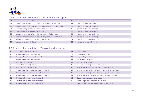

#### **2.5.1. Molecular descriptors : Constitutional descriptors**

| 21 | average molecular weight                                            | 50 | number of 5-membered rings   |
|----|---------------------------------------------------------------------|----|------------------------------|
| 22 | sum of atomic van der Waals volumes (scaled on Carbon atom)         | 51 | number of 6-membered rings   |
| 23 | sum of atomic Sanderson electronegativities (scaled on Carbon atom) | 52 | number of 7-membered rings   |
| 24 | sum of atomic polarizabilities (scaled on Carbon atom)              | 53 | number of 8-membered rings   |
| 25 | sum of Kier-Hall electrotopological states                          | 54 | number of 9-membered rings   |
| 26 | mean atomic van der Waals volume (scaled on Carbon atom)            | 55 | number of 10-membered rings  |
| 27 | mean atomic Sanderson electronegativity (scaled on Carbon atom)     | 56 | number of 11-membered rings  |
| 28 | mean atomic polarizability (scaled on Carbon atom)                  | 57 | number of 12-membered rings  |
| 29 | mean electrotopological state                                       | 58 | number of benzene-like rings |

#### **2.5.2. Molecular descriptors : Topological descriptors**

|                | Kier molecular flexibility index                 | 58 | detour index                                                   |
|----------------|--------------------------------------------------|----|----------------------------------------------------------------|
|                | Average Information content (order 0)            | 59 | hyper-detour index                                             |
| 3 <sup>1</sup> | Average Information content (order 1)            | 60 | reciprocal hyper-detour index                                  |
| 4              | Average Information content (order 2)            | 61 | distance/detour index                                          |
| 5.             | Information content (order 0)                    | 62 | all-path Wiener index                                          |
| 6              | Information content (order 1)                    | 63 | Wiener-type index (Barysz distance matrix)                     |
| 7              | Information content (order 2)                    | 64 | Wiener-type index (mass weighted distance matrix)              |
| 8              | Average Structural Information content (order 0) | 65 | Wiener-type index (van der Waals weighted distantce matrix)    |
| 9              | Average Structural Information content (order 1) | 66 | Wiener-type index (electronegativity weighted distance matrix) |
| 10             | Average Structural Information content (order 2) | 67 | Wiener-type index (polarizability weighted distance matrix)    |
| 11             | Structural Information content (order 0)         | 68 | Balaban distance connectivity index                            |
| 12             | Structural Information content (order 1)         | 69 | Balaban-type index (Barysz distance matrix)                    |
| 13             | Structural Information content (order 2)         | 70 | Balaban-type index (mass weighted distance matrix)             |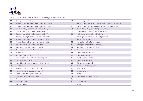

# **2.5.2. Molecular descriptors : Topological descriptors**

| 14 | Average Complementary Information content (order 0) | 71 | Balaban-type index (van der Waals weighted distantce matrix)    |
|----|-----------------------------------------------------|----|-----------------------------------------------------------------|
| 15 | Average Complementary Information content (order 1) | 72 | Balaban-type index (electronegativity weighted distance matrix) |
| 16 | Average Complementary Information content (order 2) | 73 | Balaban-type index (polarizability weighted distance matrix)    |
| 17 | Complementary Information content (order 0)         | 74 | maximal electrotopological negative variation                   |
| 18 | Complementary Information content (order 1)         | 75 | maximal electrotopological positive variation                   |
| 19 | Complementary Information content (order 2)         | 76 | molecular electrotopological variation                          |
| 20 | Average Bonding Information content (order 0)       | 77 | elctrotopological state topological parameter                   |
| 21 | Average Bonding Information content (order 1)       | 78 | Kier symmetry index                                             |
| 22 | Average Bonding Information content (order 2)       | 79 | Kier alpha-modified shape index m1                              |
| 23 | Bonding Information content (order 0)               | 80 | Kier alpha-modified shape index m2                              |
| 24 | Bonding Information content (order 1)               | 81 | Kier alpha-modified shape index m3                              |
| 25 | Bonding Information content (order 2)               | 82 | Kier benzene-likeliness index                                   |
| 26 | Balaban index                                       | 83 | path/walk shape index m2                                        |
| 27 | first Zagreb index M1                               | 84 | path/walk shape index m3                                        |
| 28 | first Zagreb index by valence vertex degrees        | 85 | path/walk shape index m4                                        |
| 29 | second Zagreb index M2                              | 86 | path/walk shape index m5                                        |
| 30 | second Zagreb index by valence vertex degrees       | 87 | 2D Petitjean shape index                                        |
| 31 | Quadratic index                                     | 88 | eccentric connectivity index                                    |
| 32 | Narumi simple topological index (log S)             | 89 | eccentricity                                                    |
| 33 | Narumi harmonic topological index (H)               | 90 | average eccentricity                                            |
| 34 | Narumi geometric topological index (G)              | 91 | eccentric                                                       |
| 35 | Total structure connectivity index                  | 92 | mean distance degree deviation                                  |
| 36 | Pogliani index                                      | 93 | unipolarity                                                     |
| 37 | ramification index                                  | 94 | centralization                                                  |
| 38 | polarity number                                     | 95 | variation                                                       |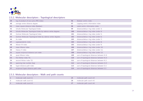

#### **2.5.2. Molecular descriptors : Topological descriptors**

| 39 | log of product of row sums (PRS index)                        | 96         | Balaban centric index                    |
|----|---------------------------------------------------------------|------------|------------------------------------------|
| 40 | average vertex distance degree                                | 97         | Lopping centric information index        |
| 41 | mean square distance index (Balaban)                          | 98         | radial centric information index         |
| 42 | Schultz Molecular Topological Index                           | 99         | distance/detour ring index (order 3)     |
| 43 | Schultz Molecular Topological Index by valence vertex degrees | <b>100</b> | distance/detour ring index (order 4)     |
| 44 | Gutman Molecular Topological Index                            | 101        | distance/detour ring index (order 5)     |
| 45 | Gutman Molecular Topological Index by valence vertex degrees  | 102        | distance/detour ring index (order 6)     |
| 46 | Xu index                                                      | 103        | distance/detour ring index (order 7)     |
| 47 | superpendentic index                                          | 104        | distance/detour ring index (order 8)     |
| 48 | Wiener W index                                                | 105        | distance/detour ring index (order 9)     |
| 49 | mean Wiener index                                             | 106        | distance/detour ring index (order 10)    |
| 50 | Harary H index                                                | 107        | distance/detour ring index (order 11)    |
| 51 | square reciprocal distance sum index                          | 108        | distance/detour ring index (order 12)    |
| 52 | quasi-Wiener index                                            | 109        | sum of topological distances between NN  |
| 53 | first Mohar index TI1                                         | 110        | sum of topological distances between N.O |
| 54 | second Mohar index TI2                                        | 111        | sum of topological distances between N.S |
| 55 | spanning tree number (log)                                    | 112        | sum of topological distances between O.O |
| 56 | hyper-distance-path index                                     | 113        | sum of topological distances between O.S |
| 57 | reciprocal hyper-distance-path index                          | 114        | sum of topological distances between SS  |

#### **2.5.3. Molecular descriptors : Walk and path counts**

| molecular walk count k1 |    | molecular path count m4 |
|-------------------------|----|-------------------------|
| molecular walk count k2 | 26 | molecular path count m5 |
| molecular walk count k3 | 27 | molecular path count m6 |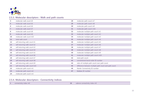

#### **2.5.3. Molecular descriptors : Walk and path counts**

| 4              | molecular walk count k4       | 28 | molecular path count m7                               |
|----------------|-------------------------------|----|-------------------------------------------------------|
| 5              | molecular walk count k5       | 29 | molecular path count m8                               |
| 6              | molecular walk count k6       | 30 | molecular path count m9                               |
| $\overline{7}$ | molecular walk count k7       | 31 | molecular path count m10                              |
| 8              | molecular walk count k8       | 32 | molecular multiple path count m1                      |
| 9              | molecular walk count k9       | 33 | molecular multiple path count m2                      |
| 10             | molecular walk count k10      | 34 | molecular multiple path count m3                      |
| 11             | total walk count              | 35 | molecular multiple path count m4                      |
| 12             | self-returning walk count k1  | 36 | molecular multiple path count m5                      |
| 13             | self-returning walk count k2  | 37 | molecular multiple path count m6                      |
| 14             | self-returning walk count k3  | 38 | molecular multiple path count m7                      |
| 15             | self-returning walk count k4  | 39 | molecular multiple path count m8                      |
| 16             | self-returning walk count k5  | 40 | molecular multiple path count m9                      |
| 17             | self-returning walk count k6  | 41 | molecular multiple path count m10                     |
| 18             | self-returning walk count k7  | 42 | total path count                                      |
| 19             | self-returning walk count k8  | 43 | conventional bond-order ID number                     |
| 20             | self-returning walk count k9  | 44 | ratio of multiple path count over path count          |
| 21             | self-returning walk count k10 | 45 | difference between multiple path count and path count |
| 22             | molecular path count m1       | 46 | Randic Connectivity ID number                         |
| 23             | molecular path count m2       | 47 | Balaban ID number                                     |
| 24             | molecular path count m3       |    |                                                       |

#### **2.5.4. Molecular descriptors : Connectivity indices**

| - 11 | connectivity index m |  |  |
|------|----------------------|--|--|
|------|----------------------|--|--|

valence connectivity index m5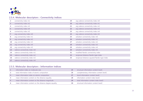

# **2.5.4. Molecular descriptors : Connectivity indices**

|              | connectivity index m1         | 19              | avg valence connectivity index m0             |
|--------------|-------------------------------|-----------------|-----------------------------------------------|
| $\mathbf{3}$ | connectivity index m2         | 20              | avg valence connectivity index m1             |
| 4            | connectivity index m3         | 21              | avg valence connectivity index m2             |
| 5.           | connectivity index m4         | 22              | avg valence connectivity index m3             |
| 6            | connectivity index m5         | 23              | avg valence connectivity index m4             |
|              | avg connectivity index m0     | 24              | avg valence connectivity index m5             |
| 8            | avg connectivity index m1     | 25              | solvation connectivity index m0               |
| 9            | avg connectivity index m2     | 26              | solvation connectivity index m1               |
| 10           | avg connectivity index m3     | 27              | solvation connectivity index m2               |
| 11           | avg connectivity index m4     | 28              | solvation connectivity index m3               |
| 12           | avg connectivity index m5     | 29              | solvation connectivity index m4               |
| 13           | valence connectivity index m0 | 30              | solvation connectivity index m5               |
| 14           | valence connectivity index m1 | 31              | modified Randic connectivity index            |
| 15           | valence connectivity index m2 | 32 <sub>2</sub> | reciprocal distance Randic-type index         |
| 16           | valence connectivity index m3 | 33              | reciprocal distance squared Randic-type index |
| 17           | valence connectivity index m4 |                 |                                               |

#### **2.5.5. Molecular descriptors : Information indices**

|   | information index on molecular size                      | 25 | structural information content level1    |
|---|----------------------------------------------------------|----|------------------------------------------|
|   | total information index of atomic composition            | 26 | complementary information content level1 |
|   | mean information index on atomic composition             | 27 | bond information content level1          |
| 4 | mean information content on the distance equality        | 28 | information content index level2         |
|   | mean information content on the distance magnitude       | 29 | total information content index level2   |
| 6 | mean information content on the distance degree equality | 30 | structural information content level2    |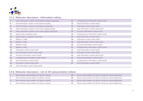

# **2.5.5. Molecular descriptors : Information indices**

| $\overline{7}$ | mean information content on the distance degree magnitude | 31 | complementary information content level2 |
|----------------|-----------------------------------------------------------|----|------------------------------------------|
| 8              | total information content on the distance equality        | 32 | bond information content level2          |
| 9              | total information content on the distance magnitude       | 33 | information content index level3         |
| 10             | mean information content on the vertex degree equality    | 34 | total information content index level3   |
| 11             | mean information content on the vertex degree magnitude   | 35 | structural information content level3    |
| 12             | graph vertex complexity index                             | 36 | complementary information content level3 |
| 13             | graph distance complexity index (log)                     | 37 | bond information content level3          |
| 14             | Balaban U index                                           | 38 | information content index level4         |
| 15             | Balaban V index                                           | 39 | total information content index level4   |
| 16             | Balaban X index                                           | 40 | structural information content level4    |
| 17             | Balaban Y index                                           | 41 | complementary information content level4 |
| 18             | information content index level0                          | 42 | bond information content level4          |
| 19             | total information content index level0                    | 43 | information content index level5         |
| 20             | structural information content level0                     | 44 | total information content index level5   |
| 21             | complementary information content level0                  | 45 | structural information content level5    |
| 22             | bond information content level0                           | 46 | complementary information content level5 |
| 23             | information content index level1                          | 47 | bond information content level5          |
| 24             | total information content index level1                    |    |                                          |

#### **2.5.6. Molecular descriptors : List of 2D autocorrelation indices**

| Broto-Moreau autocorrelation d1 (atomic masses) | 49 | Moran autocorrelation d1 (atomic Sanderson electronegativities) |
|-------------------------------------------------|----|-----------------------------------------------------------------|
| Broto-Moreau autocorrelation d2 (atomic masses) | 50 | Moran autocorrelation d2 (atomic Sanderson electronegativities) |
| Broto-Moreau autocorrelation d3 (atomic masses) | 51 | Moran autocorrelation d3 (atomic Sanderson electronegativities) |
| Broto-Moreau autocorrelation d4 (atomic masses) | 52 | Moran autocorrelation d4 (atomic Sanderson electronegativities) |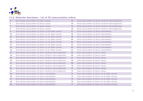

#### **2.5.6. Molecular descriptors : List of 2D autocorrelation indices**

| 5              | Broto-Moreau autocorrelation d5 (atomic masses)                        | 53 | Moran autocorrelation d5 (atomic Sanderson electronegativities) |
|----------------|------------------------------------------------------------------------|----|-----------------------------------------------------------------|
| 6              | Broto-Moreau autocorrelation d6 (atomic masses)                        | 54 | Moran autocorrelation d6 (atomic Sanderson electronegativities) |
| $\overline{7}$ | Broto-Moreau autocorrelation d7 (atomic masses)                        | 55 | Moran autocorrelation d7 (atomic Sanderson electronegativities) |
| 8              | Broto-Moreau autocorrelation d8 (atomic masses)                        | 56 | Moran autocorrelation d8 (atomic Sanderson electronegativities) |
| 9              | Broto-Moreau autocorrelation d1 (atomic van der Waals volumes)         | 57 | Moran autocorrelation d1 (atomic polarizabilities)              |
| 10             | Broto-Moreau autocorrelation d2 (atomic van der Waals volumes)         | 58 | Moran autocorrelation d2 (atomic polarizabilities)              |
| 11             | Broto-Moreau autocorrelation d3 (atomic van der Waals volumes)         | 59 | Moran autocorrelation d3 (atomic polarizabilities)              |
| 12             | Broto-Moreau autocorrelation d4 (atomic van der Waals volumes)         | 60 | Moran autocorrelation d4 (atomic polarizabilities)              |
| 13             | Broto-Moreau autocorrelation d5 (atomic van der Waals volumes)         | 61 | Moran autocorrelation d5 (atomic polarizabilities)              |
| 14             | Broto-Moreau autocorrelation d6 (atomic van der Waals volumes)         | 62 | Moran autocorrelation d6 (atomic polarizabilities)              |
| 15             | Broto-Moreau autocorrelation d7 (atomic van der Waals volumes)         | 63 | Moran autocorrelation d7 (atomic polarizabilities)              |
| <b>16</b>      | Broto-Moreau autocorrelation d8 (atomic van der Waals volumes)         | 64 | Moran autocorrelation d8 (atomic polarizabilities)              |
| 17             | Broto-Moreau autocorrelation d1 (atomic Sanderson electronegativities) | 65 | Geary autocorrelation d1 (atomic masses)                        |
| 18             | Broto-Moreau autocorrelation d2 (atomic Sanderson electronegativities) | 66 | Geary autocorrelation d2 (atomic masses)                        |
| 19             | Broto-Moreau autocorrelation d3 (atomic Sanderson electronegativities) | 67 | Geary autocorrelation d3 (atomic masses)                        |
| 20             | Broto-Moreau autocorrelation d4 (atomic Sanderson electronegativities) | 68 | Geary autocorrelation d4 (atomic masses)                        |
| 21             | Broto-Moreau autocorrelation d5 (atomic Sanderson electronegativities) | 69 | Geary autocorrelation d5 (atomic masses)                        |
| 22             | Broto-Moreau autocorrelation d6 (atomic Sanderson electronegativities) | 70 | Geary autocorrelation d6 (atomic masses)                        |
| 23             | Broto-Moreau autocorrelation d7 (atomic Sanderson electronegativities) | 71 | Geary autocorrelation d7 (atomic masses)                        |
| 24             | Broto-Moreau autocorrelation d8 (atomic Sanderson electronegativities) | 72 | Geary autocorrelation d8 (atomic masses)                        |
| 25             | Broto-Moreau autocorrelation d1 (atomic polarizabilities)              | 73 | Geary autocorrelation d1 (atomic van der Waals volumes)         |
| 26             | Broto-Moreau autocorrelation d2 (atomic polarizabilities)              | 74 | Geary autocorrelation d2 (atomic van der Waals volumes)         |
| 27             | Broto-Moreau autocorrelation d3 (atomic polarizabilities)              | 75 | Geary autocorrelation d3 (atomic van der Waals volumes)         |
| 28             | Broto-Moreau autocorrelation d4 (atomic polarizabilities)              | 76 | Geary autocorrelation d4 (atomic van der Waals volumes)         |
| 29             | Broto-Moreau autocorrelation d5 (atomic polarizabilities)              | 77 | Geary autocorrelation d5 (atomic van der Waals volumes)         |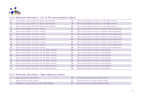

#### **2.5.6. Molecular descriptors : List of 2D autocorrelation indices**

| 30 | Broto-Moreau autocorrelation d6 (atomic polarizabilities) | 78 | Geary autocorrelation d6 (atomic van der Waals volumes)         |
|----|-----------------------------------------------------------|----|-----------------------------------------------------------------|
| 31 | Broto-Moreau autocorrelation d7 (atomic polarizabilities) | 79 | Geary autocorrelation d7 (atomic van der Waals volumes)         |
| 32 | Broto-Moreau autocorrelation d8 (atomic polarizabilities) | 80 | Geary autocorrelation d8 (atomic van der Waals volumes)         |
| 33 | Moran autocorrelation d1 (atomic masses)                  | 81 | Geary autocorrelation d1 (atomic Sanderson electronegativities) |
| 34 | Moran autocorrelation d2 (atomic masses)                  | 82 | Geary autocorrelation d2 (atomic Sanderson electronegativities) |
| 35 | Moran autocorrelation d3 (atomic masses)                  | 83 | Geary autocorrelation d3 (atomic Sanderson electronegativities) |
| 36 | Moran autocorrelation d4 (atomic masses)                  | 84 | Geary autocorrelation d4 (atomic Sanderson electronegativities) |
| 37 | Moran autocorrelation d5 (atomic masses)                  | 85 | Geary autocorrelation d5 (atomic Sanderson electronegativities) |
| 38 | Moran autocorrelation d6 (atomic masses)                  | 86 | Geary autocorrelation d6 (atomic Sanderson electronegativities) |
| 39 | Moran autocorrelation d7 (atomic masses)                  | 87 | Geary autocorrelation d7 (atomic Sanderson electronegativities) |
| 40 | Moran autocorrelation d8 (atomic masses)                  | 88 | Geary autocorrelation d8 (atomic Sanderson electronegativities) |
| 41 | Moran autocorrelation d1 (atomic van der Waals volumes)   | 89 | Geary autocorrelation d1 (atomic polarizabilities)              |
| 42 | Moran autocorrelation d2 (atomic van der Waals volumes)   | 90 | Geary autocorrelation d2 (atomic polarizabilities)              |
| 43 | Moran autocorrelation d3 (atomic van der Waals volumes)   | 91 | Geary autocorrelation d3 (atomic polarizabilities)              |
| 44 | Moran autocorrelation d4 (atomic van der Waals volumes)   | 92 | Geary autocorrelation d4 (atomic polarizabilities)              |
| 45 | Moran autocorrelation d5 (atomic van der Waals volumes)   | 93 | Geary autocorrelation d5 (atomic polarizabilities)              |
| 46 | Moran autocorrelation d6 (atomic van der Waals volumes)   | 94 | Geary autocorrelation d6 (atomic polarizabilities)              |
| 47 | Moran autocorrelation d7 (atomic van der Waals volumes)   | 95 | Geary autocorrelation d7 (atomic polarizabilities)              |
| 48 | Moran autocorrelation d8 (atomic van der Waals volumes)   | 96 | Geary autocorrelation d8 (atomic polarizabilities)              |

#### **2.5.7. Molecular descriptors : Edge adjacency indices**

| edge connectivity index (order 0)                    | spectral moment 8 of edge adjacency matrix  |
|------------------------------------------------------|---------------------------------------------|
| edge connectivity index (order 1)                    | spectral moment 9 of edge adjacency matrix  |
| eigenvalue 1 of edge adjacency matrix (edge degrees) | spectral moment 10 of edge adjacency matrix |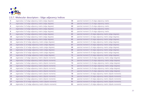

# **2.5.7. Molecular descriptors : Edge adjacency indices**

| 4                 | eigenvalue 2 of edge adjacency matrix (edge degrees)    | 58 | spectral moment 11 of edge adjacency matrix                 |
|-------------------|---------------------------------------------------------|----|-------------------------------------------------------------|
| 5                 | eigenvalue 3 of edge adjacency matrix (edge degrees)    | 59 | spectral moment 12 of edge adjacency matrix                 |
| 6                 | eigenvalue 4 of edge adjacency matrix (edge degrees)    | 60 | spectral moment 13 of edge adjacency matrix                 |
| $\overline{7}$    | eigenvalue 5 of edge adjacency matrix (edge degrees)    | 61 | spectral moment 14 of edge adjacency matrix                 |
| 8                 | eigenvalue 6 of edge adjacency matrix (edge degrees)    | 62 | spectral moment 15 of edge adjacency matrix                 |
| 9                 | eigenvalue 7 of edge adjacency matrix (edge degrees)    | 63 | spectral moment 1 of edge adjacency matrix (edge degrees)   |
| 10                | eigenvalue 8 of edge adjacency matrix (edge degrees)    | 64 | spectral moment 2 of edge adjacency matrix (edge degrees)   |
| 11                | eigenvalue 9 of edge adjacency matrix (edge degrees)    | 65 | spectral moment 3 of edge adjacency matrix (edge degrees)   |
| $12 \overline{ }$ | eigenvalue 10 of edge adjacency matrix (edge degrees)   | 66 | spectral moment 4 of edge adjacency matrix (edge degrees)   |
| 13                | eigenvalue 11 of edge adjacency matrix (edge degrees)   | 67 | spectral moment 5 of edge adjacency matrix (edge degrees)   |
| 14                | eigenvalue 12 of edge adjacency matrix (edge degrees)   | 68 | spectral moment 6 of edge adjacency matrix (edge degrees)   |
| 15                | eigenvalue 13 of edge adjacency matrix (edge degrees)   | 69 | spectral moment 7 of edge adjacency matrix (edge degrees)   |
| 16                | eigenvalue 14 of edge adjacency matrix (edge degrees)   | 70 | spectral moment 8 of edge adjacency matrix (edge degrees)   |
| 17                | eigenvalue 15 of edge adjacency matrix (edge degrees)   | 71 | spectral moment 9 of edge adjacency matrix (edge degrees)   |
| 18                | eigenvalue 1 of edge adjacency matrix (dipole moments)  | 72 | spectral moment 10 of edge adjacency matrix (edge degrees)  |
| 19                | eigenvalue 2 of edge adjacency matrix (dipole moments)  | 73 | spectral moment 11 of edge adjacency matrix (edge degrees)  |
| 20                | eigenvalue 3 of edge adjacency matrix (dipole moments)  | 74 | spectral moment 12 of edge adjacency matrix (edge degrees)  |
| 21                | eigenvalue 4 of edge adjacency matrix (dipole moments)  | 75 | spectral moment 13 of edge adjacency matrix (edge degrees)  |
| 22                | eigenvalue 5 of edge adjacency matrix (dipole moments)  | 76 | spectral moment 14 of edge adjacency matrix (edge degrees)  |
| 23                | eigenvalue 6 of edge adjacency matrix (dipole moments)  | 77 | spectral moment 15 of edge adjacency matrix (edge degrees)  |
| 24                | eigenvalue 7 of edge adjacency matrix (dipole moments)  | 78 | spectral moment 1 of edge adjacency matrix (dipole moments) |
| 25                | eigenvalue 8 of edge adjacency matrix (dipole moments)  | 79 | spectral moment 2 of edge adjacency matrix (dipole moments) |
| 26                | eigenvalue 9 of edge adjacency matrix (dipole moments)  | 80 | spectral moment 3 of edge adjacency matrix (dipole moments) |
| 27                | eigenvalue 10 of edge adjacency matrix (dipole moments) | 81 | spectral moment 4 of edge adjacency matrix (dipole moments) |
| 28                | eigenvalue 11 of edge adjacency matrix (dipole moments) | 82 | spectral moment 5 of edge adjacency matrix (dipole moments) |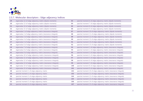

# **2.5.7. Molecular descriptors : Edge adjacency indices**

| 29 | eigenvalue 12 of edge adjacency matrix (dipole moments)      | 83  | spectral moment 6 of edge adjacency matrix (dipole moments)       |
|----|--------------------------------------------------------------|-----|-------------------------------------------------------------------|
| 30 | eigenvalue 13 of edge adjacency matrix (dipole moments)      | 84  | spectral moment 7 of edge adjacency matrix (dipole moments)       |
| 31 | eigenvalue 14 of edge adjacency matrix (dipole moments)      | 85  | spectral moment 8 of edge adjacency matrix (dipole moments)       |
| 32 | eigenvalue 15 of edge adjacency matrix (dipole moments)      | 86  | spectral moment 9 of edge adjacency matrix (dipole moments)       |
| 33 | eigenvalue 1 of edge adjacency matrix (resonance integrals)  | 87  | spectral moment 10 of edge adjacency matrix (dipole moments)      |
| 34 | eigenvalue 2 of edge adjacency matrix (resonance integrals)  | 88  | spectral moment 11 of edge adjacency matrix (dipole moments)      |
| 35 | eigenvalue 3 of edge adjacency matrix (resonance integrals)  | 89  | spectral moment 12 of edge adjacency matrix (dipole moments)      |
| 36 | eigenvalue 4 of edge adjacency matrix (resonance integrals)  | 90  | spectral moment 13 of edge adjacency matrix (dipole moments)      |
| 37 | eigenvalue 5 of edge adjacency matrix (resonance integrals)  | 91  | spectral moment 14 of edge adjacency matrix (dipole moments)      |
| 38 | eigenvalue 6 of edge adjacency matrix (resonance integrals)  | 92  | spectral moment 15 of edge adjacency matrix (dipole moments)      |
| 39 | eigenvalue 7 of edge adjacency matrix (resonance integrals)  | 93  | spectral moment 1 of edge adjacency matrix (resonance integrals)  |
| 40 | eigenvalue 8 of edge adjacency matrix (resonance integrals)  | 94  | spectral moment 2 of edge adjacency matrix (resonance integrals)  |
| 41 | eigenvalue 9 of edge adjacency matrix (resonance integrals)  | 95  | spectral moment 3 of edge adjacency matrix (resonance integrals)  |
| 42 | eigenvalue 10 of edge adjacency matrix (resonance integrals) | 96  | spectral moment 4 of edge adjacency matrix (resonance integrals)  |
| 43 | eigenvalue 11 of edge adjacency matrix (resonance integrals) | 97  | spectral moment 5 of edge adjacency matrix (resonance integrals)  |
| 44 | eigenvalue 12 of edge adjacency matrix (resonance integrals) | 98  | spectral moment 6 of edge adjacency matrix (resonance integrals)  |
| 45 | eigenvalue 13 of edge adjacency matrix (resonance integrals) | 99  | spectral moment 7 of edge adjacency matrix (resonance integrals)  |
| 46 | eigenvalue 14 of edge adjacency matrix (resonance integrals) | 100 | spectral moment 8 of edge adjacency matrix (resonance integrals)  |
| 47 | eigenvalue 15 of edge adjacency matrix (resonance integrals) | 101 | spectral moment 9 of edge adjacency matrix (resonance integrals)  |
| 48 | spectral moment 1 of edge adjacency matrix                   | 102 | spectral moment 10 of edge adjacency matrix (resonance integrals) |
| 49 | spectral moment 2 of edge adjacency matrix                   | 103 | spectral moment 11 of edge adjacency matrix (resonance integrals) |
| 50 | spectral moment 3 of edge adjacency matrix                   | 104 | spectral moment 12 of edge adjacency matrix (resonance integrals) |
| 51 | spectral moment 4 of edge adjacency matrix                   | 105 | spectral moment 13 of edge adjacency matrix (resonance integrals) |
| 52 | spectral moment 5 of edge adjacency matrix                   | 106 | spectral moment 14 of edge adjacency matrix (resonance integrals) |
| 53 | spectral moment 6 of edge adjacency matrix                   | 107 | spectral moment 15 of edge adjacency matrix (resonance integrals) |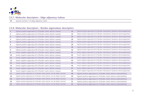

#### **2.5.7. Molecular descriptors : Edge adjacency indices**

spectral moment 7 of edge adjacency matrix

#### **2.5.8. Molecular descriptors : Burden eigenvalues descriptors**

| $\mathbf{1}$   | highest positive eigenvalue k1 of Burden matrix (atomic masses)                | 33 | highest positive eigenvalue k1 of Burden matrix(atomic Sanderson electronegativities)  |
|----------------|--------------------------------------------------------------------------------|----|----------------------------------------------------------------------------------------|
| $\overline{2}$ | highest positive eigenvalue k2 of Burden matrix (atomic masses)                | 34 | highest positive eigenvalue k2 of Burden matrix(atomic Sanderson electronegativities)  |
| 3              | highest positive eigenvalue k3 of Burden matrix (atomic masses)                | 35 | highest positive eigenvalue k3 of Burden matrix(atomic Sanderson electronegativities)  |
| 4              | highest positive eigenvalue k4 of Burden matrix (atomic masses)                | 36 | highest positive eigenvalue k4 of Burden matrix (atomic Sanderson electronegativities) |
| 5.             | highest positive eigenvalue k5 of Burden matrix (atomic masses)                | 37 | highest positive eigenvalue k5 of Burden matrix(atomic Sanderson electronegativities)  |
| 6              | highest positive eigenvalue k6 of Burden matrix (atomic masses)                | 38 | highest positive eigenvalue k6 of Burden matrix(atomic Sanderson electronegativities)  |
| $\overline{7}$ | highest positive eigenvalue k7 of Burden matrix (atomic masses)                | 39 | highest positive eigenvalue k7 of Burden matrix(atomic Sanderson electronegativities)  |
| 8              | highest positive eigenvalue k8 of Burden matrix (atomic masses)                | 40 | highest positive eigenvalue k8 of Burden matrix(atomic Sanderson electronegativities)  |
| 9              | lowest negative eigenvalue k1 of Burden matrix (atomic masses)                 | 41 | lowest negative eigenvalue k1 of Burden matrix(atomic Sanderson electronegativities)   |
| 10             | lowest negative eigenvalue k2 of Burden matrix (atomic masses)                 | 42 | lowest negative eigenvalue k2 of Burden matrix(atomic Sanderson electronegativities)   |
| 11             | lowest negative eigenvalue k3 of Burden matrix (atomic masses)                 | 43 | lowest negative eigenvalue k3 of Burden matrix(atomic Sanderson electronegativities)   |
| 12             | lowest negative eigenvalue k4 of Burden matrix (atomic masses)                 | 44 | lowest negative eigenvalue k4 of Burden matrix(atomic Sanderson electronegativities)   |
| 13             | lowest negative eigenvalue k5 of Burden matrix (atomic masses)                 | 45 | lowest negative eigenvalue k5 of Burden matrix(atomic Sanderson electronegativities)   |
| 14             | lowest negative eigenvalue k6 of Burden matrix (atomic masses)                 | 46 | lowest negative eigenvalue k6 of Burden matrix (atomic Sanderson electronegativities)  |
| 15             | lowest negative eigenvalue k7 of Burden matrix (atomic masses)                 | 47 | lowest negative eigenvalue k7 of Burden matrix(atomic Sanderson electronegativities)   |
| 16             | lowest negative eigenvalue k8 of Burden matrix (atomic masses)                 | 48 | lowest negative eigenvalue k8 of Burden matrix(atomic Sanderson electronegativities)   |
| 17             | highest positive eigenvalue k1 of Burden matrix (atomic van der Waals volumes) | 49 | highest positive eigenvalue k1 of Burden matrix (atomic polarizabilities)              |
| 18             | highest positive eigenvalue k2 of Burden matrix (atomic van der Waals volumes) | 50 | highest positive eigenvalue k2 of Burden matrix (atomic polarizabilities)              |
| 19             | highest positive eigenvalue k3 of Burden matrix (atomic van der Waals volumes) | 51 | highest positive eigenvalue k3 of Burden matrix (atomic polarizabilities)              |
| 20             | highest positive eigenvalue k4 of Burden matrix (atomic van der Waals volumes) | 52 | highest positive eigenvalue k4 of Burden matrix (atomic polarizabilities)              |
| 21             | highest positive eigenvalue k5 of Burden matrix (atomic van der Waals volumes) | 53 | highest positive eigenvalue k5 of Burden matrix (atomic polarizabilities)              |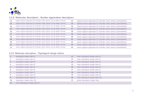

#### **2.5.8. Molecular descriptors : Burden eigenvalues descriptors**

| 22 | highest positive eigenvalue k6 of Burden matrix (atomic van der Waals volumes) | 54 | highest positive eigenvalue k6 of Burden matrix (atomic polarizabilities) |
|----|--------------------------------------------------------------------------------|----|---------------------------------------------------------------------------|
| 23 | highest positive eigenvalue k7 of Burden matrix (atomic van der Waals volumes) | 55 | highest positive eigenvalue k7 of Burden matrix (atomic polarizabilities) |
| 24 | highest positive eigenvalue k8 of Burden matrix (atomic van der Waals volumes) | 56 | highest positive eigenvalue k8 of Burden matrix (atomic polarizabilities) |
| 25 | lowest negative eigenvalue k1 of Burden matrix (atomic van der Waals volumes)  | 57 | lowest negative eigenvalue k1 of Burden matrix (atomic polarizabilities)  |
| 26 | lowest negative eigenvalue k2 of Burden matrix (atomic van der Waals volumes)  | 58 | lowest negative eigenvalue k2 of Burden matrix (atomic polarizabilities)  |
| 27 | lowest negative eigenvalue k3 of Burden matrix (atomic van der Waals volumes)  | 59 | lowest negative eigenvalue k3 of Burden matrix (atomic polarizabilities)  |
| 28 | lowest negative eigenvalue k4 of Burden matrix (atomic van der Waals volumes)  | 60 | lowest negative eigenvalue k4 of Burden matrix (atomic polarizabilities)  |
| 29 | lowest negative eigenvalue k5 of Burden matrix (atomic van der Waals volumes)  | 61 | lowest negative eigenvalue k5 of Burden matrix (atomic polarizabilities)  |
| 30 | lowest negative eigenvalue k6 of Burden matrix (atomic van der Waals volumes)  | 62 | lowest negative eigenvalue k6 of Burden matrix (atomic polarizabilities)  |
| 31 | lowest negative eigenvalue k7 of Burden matrix (atomic van der Waals volumes)  | 63 | lowest negative eigenvalue k7 of Burden matrix (atomic polarizabilities)  |
| 32 | lowest negative eigenvalue k8 of Burden matrix (atomic van der Waals volumes)  | 64 | lowest negative eigenvalue k8 of Burden matrix (atomic polarizabilities)  |

#### **2.5.9. Molecular descriptors : Topological charge indices**

|    | topological charge index k1      | 12 | mean topological charge index k2  |
|----|----------------------------------|----|-----------------------------------|
|    | topological charge index k2      | 13 | mean topological charge index k3  |
|    | topological charge index k3      | 14 | mean topological charge index k4  |
| 4  | topological charge index k4      | 15 | mean topological charge index k5  |
|    | topological charge index k5      | 16 | mean topological charge index k6  |
| 6  | topological charge index k6      | 17 | mean topological charge index k7  |
|    | topological charge index k7      | 18 | mean topological charge index k8  |
| 8  | topological charge index k8      | 19 | mean topological charge index k9  |
| 9  | topological charge index k9      | 20 | mean topological charge index k10 |
| 10 | topological charge index k10     | 21 | global topological charge index   |
| 11 | mean topological charge index k1 |    |                                   |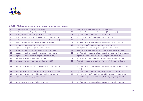

# **2.5.10. Molecular descriptors : Eigenvalue-based indices**

|                | Lovasz-Pelikan index (leading eigenvalue)                        | 23 | Randic-type eigenvector coeff. sum (distance matrix)                           |
|----------------|------------------------------------------------------------------|----|--------------------------------------------------------------------------------|
| 2.             | leading eigenvalue (Barysz distance matrix)                      | 24 | avg Randic-type eigenvector-based index (distance matrix)                      |
| 3              | leading eigenvalue (mass weighted distance matrix)               | 25 | eigenvector coeff. sum (Barysz distance matrix)                                |
| 4              | leading eigenvalue (van der Waals weighted distantce matrix)     | 26 | avg eigenvector coeff. sum (Barysz distance matrix)                            |
| 5              | leading eigenvalue (electronegativity weighted distance matrix)  | 27 | Randic-type eigenvector coeff. sum (Barysz distance matrix)                    |
| 6              | leading eigenvalue (polarizability weighted distance matrix)     | 28 | avg Randic-type eigenvector-based index (Barysz distance matrix)               |
| $\overline{7}$ | eigenvalue sum (Barysz distance matrix)                          | 29 | eigenvector coeff. sum (mass weighted distance matrix)                         |
| 8              | eigenvalue sum (mass weighted distance matrix)                   | 30 | avg eigenvector coeff. sum (mass weighted distance matrix)                     |
| 9              | eigenvalue sum (van der Waals weighted distantce matrix)         | 31 | Randic-type eigenvector coeff. sum (mass weighted distance matrix)             |
| 10             | eigenvalue sum (electronegativity weighted distance matrix)      | 32 | avg Randic-type eigenvector-based index (mass weighted distance matrix)        |
| 11             | eigenvalue sum (polarizability weighted distance matrix)         | 33 | eigenvector coeff. sum (van der Waals weighted distance matrix)                |
| 12             | abs. eigenvalue sum (Barysz distance matrix)                     | 34 | avg eigenvector coeff. sum (van der Waals weighted distance matrix)            |
| 13             | abs. eigenvalue sum (mass weighted distance matrix)              | 35 | Randic-type eigenvector coeff. sum (van der Waals weighted distance<br>matrix) |
| 14             | abs. eigenvalue sum (van der Waals weighted distantce matrix)    | 36 | avg Randic-type eigenvector-based index (van der Waals weighted distance       |
|                |                                                                  |    | matrix)                                                                        |
| <b>15</b>      | abs. eigenvalue sum (electronegativity weighted distance matrix) | 37 | eigenvector coeff. sum (electronegativity weighted distance matrix)            |
| 16             | abs. eigenvalue sum (polarizability weighted distance matrix)    | 38 | avg eigenvector coeff. sum (electronegativity weighted distance matrix)        |
| 17             | eigenvector coeff. sum (adjacency matrix)                        | 39 | Randic-type eigenvector coeff. sum (electronegativity weighted distance        |
|                |                                                                  |    | matrix)                                                                        |
| 18             | avg eigenvector coeff. sum (adjacency matrix)                    | 40 | avg Randic-type eigenvector-based index (electronegativity weighted            |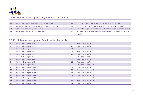

#### **2.5.10. Molecular descriptors : Eigenvalue-based indices**

|           |                                                            |    | distance matrix)                                                             |
|-----------|------------------------------------------------------------|----|------------------------------------------------------------------------------|
| <b>19</b> | Randic-type eigenvector coeff. sum (adjacency matrix)      | 41 | eigenvector coeff. sum (polarizability weighted distance matrix)             |
| -20       | avg Randic-type eigenvector-based index (adjacency matrix) | 42 | avg eigenvector coeff. sum (polarizability weighted distance matrix)         |
|           | eigenvector coeff. sum (distance matrix)                   | 43 | Randic-type eigenvector coeff. sum (polarizability weighted distance matrix) |
|           | avg eigenvector coeff. sum (distance matrix)               | 44 | avg Randic-type eigenvector-based index (polarizability weighted distance    |
|           |                                                            |    | matrix)                                                                      |

#### **2.5.11. Molecular descriptors : Randic molecular profiles**

| 1              | Randic molecular profile k1  | 22 | Randic shape profile k2  |
|----------------|------------------------------|----|--------------------------|
| $\overline{2}$ | Randic molecular profile k2  | 23 | Randic shape profile k3  |
| 3 <sup>1</sup> | Randic molecular profile k3  | 24 | Randic shape profile k4  |
| 4              | Randic molecular profile k4  | 25 | Randic shape profile k5  |
| 5 <sup>1</sup> | Randic molecular profile k5  | 26 | Randic shape profile k6  |
| 6              | Randic molecular profile k6  | 27 | Randic shape profile k7  |
| $\overline{7}$ | Randic molecular profile k7  | 28 | Randic shape profile k8  |
| 8              | Randic molecular profile k8  | 29 | Randic shape profile k9  |
| 9              | Randic molecular profile k9  | 30 | Randic shape profile k10 |
| 10             | Randic molecular profile k10 | 31 | Randic shape profile k11 |
| 11             | Randic molecular profile k11 | 32 | Randic shape profile k12 |
| 12             | Randic molecular profile k12 | 33 | Randic shape profile k13 |
| 13             | Randic molecular profile k13 | 34 | Randic shape profile k14 |
| 14             | Randic molecular profile k14 | 35 | Randic shape profile k15 |
| <b>15</b>      | Randic molecular profile k15 | 36 | Randic shape profile k16 |
| 16             | Randic molecular profile k16 | 37 | Randic shape profile k17 |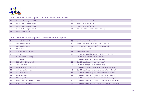

#### **2.5.11. Molecular descriptors : Randic molecular profiles**

| 17 | Randic molecular profile k17 | 38 | Randic shape profile k18                 |
|----|------------------------------|----|------------------------------------------|
| 18 | Randic molecular profile k18 | 39 | Randic shape profile k19                 |
| 19 | Randic molecular profile k19 | 40 | Randic shape profile k20                 |
| 20 | Randic molecular profile k20 | 41 | avg Randic shape profile index (order 2) |
| 21 | Randic shape profile k1      |    |                                          |

#### **2.5.12. Molecular descriptors : Geometrical descriptors**

| 1              | Moment of inertia A               | 29 | Length / Breadth by WHIM                                   |
|----------------|-----------------------------------|----|------------------------------------------------------------|
| $\overline{2}$ | Moment of inertia B               | 30 | absolute eigenvalue sum on geometry matrix                 |
| 3              | Moment of inertia C               | 31 | Harmonic Oscillator Model of Aromaticity index             |
| 4              | <b>XY Shadow</b>                  | 32 | Jug ring current index                                     |
| 5.             | XY Shadow / XY Rectangle          | 33 | aromaticity index                                          |
| 6              | YZ Shadow                         | 34 | Homeostasis Model Assessment (HOMA) total index            |
| $\overline{7}$ | YZ Shadow / YZ Rectangle          | 35 | CoMMA displacement (atomic masses)                         |
| 8              | <b>ZX Shadow</b>                  | 36 | CoMMA quadrupole xx (atomic masses)                        |
| 9              | ZX Shadow / ZX Rectangle          | 37 | CoMMA quadrupole yy (atomic masses)                        |
| 10             | Molecular volume                  | 38 | CoMMA quadrupole zz (atomic masses)                        |
| 11             | Molecular volume / XYZ Box        | 39 | CoMMA displacement (atomic van der Waals volumes)          |
| 12             | Molecular surface area            | 40 | CoMMA quadrupole xx (atomic van der Waals volumes)         |
| 13             | 3D-Wiener index                   | 41 | CoMMA quadrupole yy (atomic van der Waals volumes)         |
| 14             | 3D-Balaban index                  | 42 | CoMMA quadrupole zz (atomic van der Waals volumes)         |
| 15             | 3D-Harary index                   | 43 | CoMMA displacement (atomic Sanderson electronegativities)  |
| 16             | average geometric distance degree | 44 | CoMMA quadrupole xx (atomic Sanderson electronegativities) |
| 17             | distance/distance index           | 45 | CoMMA quadrupole yy (atomic Sanderson electronegativities) |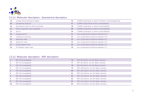

#### **2.5.12. Molecular descriptors : Geometrical descriptors**

| 18        | average distance/distance degree         | 46 | CoMMA quadrupole zz (atomic Sanderson electronegativities) |
|-----------|------------------------------------------|----|------------------------------------------------------------|
| <b>19</b> | gravitational index G1                   | 47 | CoMMA displacement (atomic polarizabilities)               |
| 20        | gravitational index G2 (bond-restricted) | 48 | CoMMA quadrupole xx (atomic polarizabilities)              |
| 21        | radius of gyration (mass weighted)       | 49 | CoMMA quadrupole yy (atomic polarizabilities)              |
| 22        | span R                                   | 50 | CoMMA quadrupole zz (atomic polarizabilities)              |
| 23        | average span R                           | 51 | sum of geometrical distances between NN                    |
| 24        | molecular eccentricity                   | 52 | sum of geometrical distances between N.O                   |
| 25        | spherosity index                         | 53 | sum of geometrical distances between N.S                   |
| 26        | asphericity index                        | 54 | sum of geometrical distances between O.O                   |
| 27        | folding degree index                     | 55 | sum of geometrical distances between O.S                   |
| 28        | 3D Petitjean shape index                 | 56 | sum of geometrical distances between SS                    |

#### **2.5.13. Molecular descriptors : RDF descriptors**

|    | RDF s10 (unweighted) | 76 | RDF s85 (atomic van der Waals volumes)  |
|----|----------------------|----|-----------------------------------------|
|    | RDF s15 (unweighted) | 77 | RDF s90 (atomic van der Waals volumes)  |
| 3  | RDF s20 (unweighted) | 78 | RDF s95 (atomic van der Waals volumes)  |
| 4  | RDF s25 (unweighted) | 79 | RDF s100 (atomic van der Waals volumes) |
| 5. | RDF s30 (unweighted) | 80 | RDF s105 (atomic van der Waals volumes) |
| 6  | RDF s35 (unweighted) | 81 | RDF s110 (atomic van der Waals volumes) |
|    | RDF s40 (unweighted) | 82 | RDF s115 (atomic van der Waals volumes) |
| 8  | RDF s45 (unweighted) | 83 | RDF s120 (atomic van der Waals volumes) |
| 9  | RDF s50 (unweighted) | 84 | RDF s125 (atomic van der Waals volumes) |
| 10 | RDF s55 (unweighted) | 85 | RDF s130 (atomic van der Waals volumes) |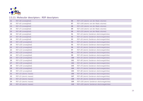

#### **2.5.13. Molecular descriptors : RDF descriptors**

| 11                | RDF s60 (unweighted)    | 86  | RDF s135 (atomic van der Waals volumes)         |
|-------------------|-------------------------|-----|-------------------------------------------------|
| $12 \overline{ }$ | RDF s65 (unweighted)    | 87  | RDF s140 (atomic van der Waals volumes)         |
| 13                | RDF s70 (unweighted)    | 88  | RDF s145 (atomic van der Waals volumes)         |
| 14                | RDF s75 (unweighted)    | 89  | RDF s150 (atomic van der Waals volumes)         |
| 15                | RDF s80 (unweighted)    | 90  | RDF s155 (atomic van der Waals volumes)         |
| 16                | RDF s85 (unweighted)    | 91  | RDF s10 (atomic Sanderson electronegativities)  |
| 17                | RDF s90 (unweighted)    | 92  | RDF s15 (atomic Sanderson electronegativities)  |
| 18                | RDF s95 (unweighted)    | 93  | RDF s20 (atomic Sanderson electronegativities)  |
| 19                | RDF s100 (unweighted)   | 94  | RDF s25 (atomic Sanderson electronegativities)  |
| 20                | RDF s105 (unweighted)   | 95  | RDF s30 (atomic Sanderson electronegativities)  |
| 21                | RDF s110 (unweighted)   | 96  | RDF s35 (atomic Sanderson electronegativities)  |
| 22                | RDF s115 (unweighted)   | 97  | RDF s40 (atomic Sanderson electronegativities)  |
| 23                | RDF s120 (unweighted)   | 98  | RDF s45 (atomic Sanderson electronegativities)  |
| 24                | RDF s125 (unweighted)   | 99  | RDF s50 (atomic Sanderson electronegativities)  |
| 25                | RDF s130 (unweighted)   | 100 | RDF s55 (atomic Sanderson electronegativities)  |
| 26                | RDF s135 (unweighted)   | 101 | RDF s60 (atomic Sanderson electronegativities)  |
| 27                | RDF s140 (unweighted)   | 102 | RDF s65 (atomic Sanderson electronegativities)  |
| 28                | RDF s145 (unweighted)   | 103 | RDF s70 (atomic Sanderson electronegativities)  |
| 29                | RDF s150 (unweighted)   | 104 | RDF s75 (atomic Sanderson electronegativities)  |
| 30                | RDF s155 (unweighted)   | 105 | RDF s80 (atomic Sanderson electronegativities)  |
| 31                | RDF s10 (atomic masses) | 106 | RDF s85 (atomic Sanderson electronegativities)  |
| 32                | RDF s15 (atomic masses) | 107 | RDF s90 (atomic Sanderson electronegativities)  |
| 33                | RDF s20 (atomic masses) | 108 | RDF s95 (atomic Sanderson electronegativities)  |
| 34                | RDF s25 (atomic masses) | 109 | RDF s100 (atomic Sanderson electronegativities) |
| 35                | RDF s30 (atomic masses) | 110 | RDF s105 (atomic Sanderson electronegativities) |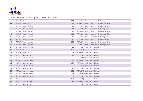

# **2.5.13. Molecular descriptors : RDF descriptors**

| 36 | RDF s35 (atomic masses)  | 111 | RDF s110 (atomic Sanderson electronegativities) |
|----|--------------------------|-----|-------------------------------------------------|
| 37 | RDF s40 (atomic masses)  | 112 | RDF s115 (atomic Sanderson electronegativities) |
| 38 | RDF s45 (atomic masses)  | 113 | RDF s120 (atomic Sanderson electronegativities) |
| 39 | RDF s50 (atomic masses)  | 114 | RDF s125 (atomic Sanderson electronegativities) |
| 40 | RDF s55 (atomic masses)  | 115 | RDF s130 (atomic Sanderson electronegativities) |
| 41 | RDF s60 (atomic masses)  | 116 | RDF s135 (atomic Sanderson electronegativities) |
| 42 | RDF s65 (atomic masses)  | 117 | RDF s140 (atomic Sanderson electronegativities) |
| 43 | RDF s70 (atomic masses)  | 118 | RDF s145 (atomic Sanderson electronegativities) |
| 44 | RDF s75 (atomic masses)  | 119 | RDF s150 (atomic Sanderson electronegativities) |
| 45 | RDF s80 (atomic masses)  | 120 | RDF s155 (atomic Sanderson electronegativities) |
| 46 | RDF s85 (atomic masses)  | 121 | RDF s10 (atomic polarizabilities)               |
| 47 | RDF s90 (atomic masses)  | 122 | RDF s15 (atomic polarizabilities)               |
| 48 | RDF s95 (atomic masses)  | 123 | RDF s20 (atomic polarizabilities)               |
| 49 | RDF s100 (atomic masses) | 124 | RDF s25 (atomic polarizabilities)               |
| 50 | RDF s105 (atomic masses) | 125 | RDF s30 (atomic polarizabilities)               |
| 51 | RDF s110 (atomic masses) | 126 | RDF s35 (atomic polarizabilities)               |
| 52 | RDF s115 (atomic masses) | 127 | RDF s40 (atomic polarizabilities)               |
| 53 | RDF s120 (atomic masses) | 128 | RDF s45 (atomic polarizabilities)               |
| 54 | RDF s125 (atomic masses) | 129 | RDF s50 (atomic polarizabilities)               |
| 55 | RDF s130 (atomic masses) | 130 | RDF s55 (atomic polarizabilities)               |
| 56 | RDF s135 (atomic masses) | 131 | RDF s60 (atomic polarizabilities)               |
| 57 | RDF s140 (atomic masses) | 132 | RDF s65 (atomic polarizabilities)               |
| 58 | RDF s145 (atomic masses) | 133 | RDF s70 (atomic polarizabilities)               |
| 59 | RDF s150 (atomic masses) | 134 | RDF s75 (atomic polarizabilities)               |
| 60 | RDF s155 (atomic masses) | 135 | RDF s80 (atomic polarizabilities)               |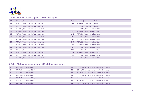

#### **2.5.13. Molecular descriptors : RDF descriptors**

| 61 | RDF s10 (atomic van der Waals volumes) | 136 | RDF s85 (atomic polarizabilities)  |
|----|----------------------------------------|-----|------------------------------------|
| 62 | RDF s15 (atomic van der Waals volumes) | 137 | RDF s90 (atomic polarizabilities)  |
| 63 | RDF s20 (atomic van der Waals volumes) | 138 | RDF s95 (atomic polarizabilities)  |
| 64 | RDF s25 (atomic van der Waals volumes) | 139 | RDF s100 (atomic polarizabilities) |
| 65 | RDF s30 (atomic van der Waals volumes) | 140 | RDF s105 (atomic polarizabilities) |
| 66 | RDF s35 (atomic van der Waals volumes) | 141 | RDF s110 (atomic polarizabilities) |
| 67 | RDF s40 (atomic van der Waals volumes) | 142 | RDF s115 (atomic polarizabilities) |
| 68 | RDF s45 (atomic van der Waals volumes) | 143 | RDF s120 (atomic polarizabilities) |
| 69 | RDF s50 (atomic van der Waals volumes) | 144 | RDF s125 (atomic polarizabilities) |
| 70 | RDF s55 (atomic van der Waals volumes) | 145 | RDF s130 (atomic polarizabilities) |
| 71 | RDF s60 (atomic van der Waals volumes) | 146 | RDF s135 (atomic polarizabilities) |
| 72 | RDF s65 (atomic van der Waals volumes) | 147 | RDF s140 (atomic polarizabilities) |
| 73 | RDF s70 (atomic van der Waals volumes) | 148 | RDF s145 (atomic polarizabilities) |
| 74 | RDF s75 (atomic van der Waals volumes) | 149 | RDF s150 (atomic polarizabilities) |
| 75 | RDF s80 (atomic van der Waals volumes) | 150 | RDF s155 (atomic polarizabilities) |

|   | 3D-MoRSE s1 (unweighted) | 81 | 3D-MoRSE s17 (atomic van der Waals volumes) |
|---|--------------------------|----|---------------------------------------------|
|   | 3D-MoRSE s2 (unweighted) | 82 | 3D-MoRSE s18 (atomic van der Waals volumes) |
|   | 3D-MoRSE s3 (unweighted) | 83 | 3D-MoRSE s19 (atomic van der Waals volumes) |
|   | 3D-MoRSE s4 (unweighted) | 84 | 3D-MoRSE s20 (atomic van der Waals volumes) |
|   | 3D-MoRSE s5 (unweighted) | 85 | 3D-MoRSE s21 (atomic van der Waals volumes) |
| 6 | 3D-MoRSE s6 (unweighted) | 86 | 3D-MoRSE s22 (atomic van der Waals volumes) |
|   | 3D-MoRSE s7 (unweighted) | 87 | 3D-MoRSE s23 (atomic van der Waals volumes) |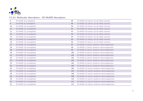

| 8         | 3D-MoRSE s8 (unweighted)  | 88  | 3D-MoRSE s24 (atomic van der Waals volumes)         |
|-----------|---------------------------|-----|-----------------------------------------------------|
| 9         | 3D-MoRSE s9 (unweighted)  | 89  | 3D-MoRSE s25 (atomic van der Waals volumes)         |
| 10        | 3D-MoRSE s10 (unweighted) | 90  | 3D-MoRSE s26 (atomic van der Waals volumes)         |
| 11        | 3D-MoRSE s11 (unweighted) | 91  | 3D-MoRSE s27 (atomic van der Waals volumes)         |
| 12        | 3D-MoRSE s12 (unweighted) | 92  | 3D-MoRSE s28 (atomic van der Waals volumes)         |
| 13        | 3D-MoRSE s13 (unweighted) | 93  | 3D-MoRSE s29 (atomic van der Waals volumes)         |
| 14        | 3D-MoRSE s14 (unweighted) | 94  | 3D-MoRSE s30 (atomic van der Waals volumes)         |
| <b>15</b> | 3D-MoRSE s15 (unweighted) | 95  | 3D-MoRSE s31 (atomic van der Waals volumes)         |
| <b>16</b> | 3D-MoRSE s16 (unweighted) | 96  | 3D-MoRSE s32 (atomic van der Waals volumes)         |
| 17        | 3D-MoRSE s17 (unweighted) | 97  | 3D-MoRSE s1 (atomic Sanderson electronegativities)  |
| 18        | 3D-MoRSE s18 (unweighted) | 98  | 3D-MoRSE s2 (atomic Sanderson electronegativities)  |
| 19        | 3D-MoRSE s19 (unweighted) | 99  | 3D-MoRSE s3 (atomic Sanderson electronegativities)  |
| 20        | 3D-MoRSE s20 (unweighted) | 100 | 3D-MoRSE s4 (atomic Sanderson electronegativities)  |
| 21        | 3D-MoRSE s21 (unweighted) | 101 | 3D-MoRSE s5 (atomic Sanderson electronegativities)  |
| 22        | 3D-MoRSE s22 (unweighted) | 102 | 3D-MoRSE s6 (atomic Sanderson electronegativities)  |
| 23        | 3D-MoRSE s23 (unweighted) | 103 | 3D-MoRSE s7 (atomic Sanderson electronegativities)  |
| 24        | 3D-MoRSE s24 (unweighted) | 104 | 3D-MoRSE s8 (atomic Sanderson electronegativities)  |
| 25        | 3D-MoRSE s25 (unweighted) | 105 | 3D-MoRSE s9 (atomic Sanderson electronegativities)  |
| 26        | 3D-MoRSE s26 (unweighted) | 106 | 3D-MoRSE s10 (atomic Sanderson electronegativities) |
| 27        | 3D-MoRSE s27 (unweighted) | 107 | 3D-MoRSE s11 (atomic Sanderson electronegativities) |
| 28        | 3D-MoRSE s28 (unweighted) | 108 | 3D-MoRSE s12 (atomic Sanderson electronegativities) |
| 29        | 3D-MoRSE s29 (unweighted) | 109 | 3D-MoRSE s13 (atomic Sanderson electronegativities) |
| 30        | 3D-MoRSE s30 (unweighted) | 110 | 3D-MoRSE s14 (atomic Sanderson electronegativities) |
| 31        | 3D-MoRSE s31 (unweighted) | 111 | 3D-MoRSE s15 (atomic Sanderson electronegativities) |
| 32        | 3D-MoRSE s32 (unweighted) | 112 | 3D-MoRSE s16 (atomic Sanderson electronegativities) |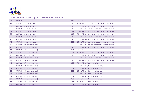

| 33 | 3D-MoRSE s1 (atomic masses)  | 113 | 3D-MoRSE s17 (atomic Sanderson electronegativities) |
|----|------------------------------|-----|-----------------------------------------------------|
| 34 | 3D-MoRSE s2 (atomic masses)  | 114 | 3D-MoRSE s18 (atomic Sanderson electronegativities) |
| 35 | 3D-MoRSE s3 (atomic masses)  | 115 | 3D-MoRSE s19 (atomic Sanderson electronegativities) |
| 36 | 3D-MoRSE s4 (atomic masses)  | 116 | 3D-MoRSE s20 (atomic Sanderson electronegativities) |
| 37 | 3D-MoRSE s5 (atomic masses)  | 117 | 3D-MoRSE s21 (atomic Sanderson electronegativities) |
| 38 | 3D-MoRSE s6 (atomic masses)  | 118 | 3D-MoRSE s22 (atomic Sanderson electronegativities) |
| 39 | 3D-MoRSE s7 (atomic masses)  | 119 | 3D-MoRSE s23 (atomic Sanderson electronegativities) |
| 40 | 3D-MoRSE s8 (atomic masses)  | 120 | 3D-MoRSE s24 (atomic Sanderson electronegativities) |
| 41 | 3D-MoRSE s9 (atomic masses)  | 121 | 3D-MoRSE s25 (atomic Sanderson electronegativities) |
| 42 | 3D-MoRSE s10 (atomic masses) | 122 | 3D-MoRSE s26 (atomic Sanderson electronegativities) |
| 43 | 3D-MoRSE s11 (atomic masses) | 123 | 3D-MoRSE s27 (atomic Sanderson electronegativities) |
| 44 | 3D-MoRSE s12 (atomic masses) | 124 | 3D-MoRSE s28 (atomic Sanderson electronegativities) |
| 45 | 3D-MoRSE s13 (atomic masses) | 125 | 3D-MoRSE s29 (atomic Sanderson electronegativities) |
| 46 | 3D-MoRSE s14 (atomic masses) | 126 | 3D-MoRSE s30 (atomic Sanderson electronegativities) |
| 47 | 3D-MoRSE s15 (atomic masses) | 127 | 3D-MoRSE s31 (atomic Sanderson electronegativities) |
| 48 | 3D-MoRSE s16 (atomic masses) | 128 | 3D-MoRSE s32 (atomic Sanderson electronegativities) |
| 49 | 3D-MoRSE s17 (atomic masses) | 129 | 3D-MoRSE s1 (atomic polarizabilities)               |
| 50 | 3D-MoRSE s18 (atomic masses) | 130 | 3D-MoRSE s2 (atomic polarizabilities)               |
| 51 | 3D-MoRSE s19 (atomic masses) | 131 | 3D-MoRSE s3 (atomic polarizabilities)               |
| 52 | 3D-MoRSE s20 (atomic masses) | 132 | 3D-MoRSE s4 (atomic polarizabilities)               |
| 53 | 3D-MoRSE s21 (atomic masses) | 133 | 3D-MoRSE s5 (atomic polarizabilities)               |
| 54 | 3D-MoRSE s22 (atomic masses) | 134 | 3D-MoRSE s6 (atomic polarizabilities)               |
| 55 | 3D-MoRSE s23 (atomic masses) | 135 | 3D-MoRSE s7 (atomic polarizabilities)               |
| 56 | 3D-MoRSE s24 (atomic masses) | 136 | 3D-MoRSE s8 (atomic polarizabilities)               |
| 57 | 3D-MoRSE s25 (atomic masses) | 137 | 3D-MoRSE s9 (atomic polarizabilities)               |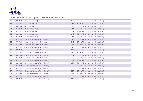

| 58 | 3D-MoRSE s26 (atomic masses)                | 138 | 3D-MoRSE s10 (atomic polarizabilities) |
|----|---------------------------------------------|-----|----------------------------------------|
| 59 | 3D-MoRSE s27 (atomic masses)                | 139 | 3D-MoRSE s11 (atomic polarizabilities) |
| 60 | 3D-MoRSE s28 (atomic masses)                | 140 | 3D-MoRSE s12 (atomic polarizabilities) |
| 61 | 3D-MoRSE s29 (atomic masses)                | 141 | 3D-MoRSE s13 (atomic polarizabilities) |
| 62 | 3D-MoRSE s30 (atomic masses)                | 142 | 3D-MoRSE s14 (atomic polarizabilities) |
| 63 | 3D-MoRSE s31 (atomic masses)                | 143 | 3D-MoRSE s15 (atomic polarizabilities) |
| 64 | 3D-MoRSE s32 (atomic masses)                | 144 | 3D-MoRSE s16 (atomic polarizabilities) |
| 65 | 3D-MoRSE s1 (atomic van der Waals volumes)  | 145 | 3D-MoRSE s17 (atomic polarizabilities) |
| 66 | 3D-MoRSE s2 (atomic van der Waals volumes)  | 146 | 3D-MoRSE s18 (atomic polarizabilities) |
| 67 | 3D-MoRSE s3 (atomic van der Waals volumes)  | 147 | 3D-MoRSE s19 (atomic polarizabilities) |
| 68 | 3D-MoRSE s4 (atomic van der Waals volumes)  | 148 | 3D-MoRSE s20 (atomic polarizabilities) |
| 69 | 3D-MoRSE s5 (atomic van der Waals volumes)  | 149 | 3D-MoRSE s21 (atomic polarizabilities) |
| 70 | 3D-MoRSE s6 (atomic van der Waals volumes)  | 150 | 3D-MoRSE s22 (atomic polarizabilities) |
| 71 | 3D-MoRSE s7 (atomic van der Waals volumes)  | 151 | 3D-MoRSE s23 (atomic polarizabilities) |
| 72 | 3D-MoRSE s8 (atomic van der Waals volumes)  | 152 | 3D-MoRSE s24 (atomic polarizabilities) |
| 73 | 3D-MoRSE s9 (atomic van der Waals volumes)  | 153 | 3D-MoRSE s25 (atomic polarizabilities) |
| 74 | 3D-MoRSE s10 (atomic van der Waals volumes) | 154 | 3D-MoRSE s26 (atomic polarizabilities) |
| 75 | 3D-MoRSE s11 (atomic van der Waals volumes) | 155 | 3D-MoRSE s27 (atomic polarizabilities) |
| 76 | 3D-MoRSE s12 (atomic van der Waals volumes) | 156 | 3D-MoRSE s28 (atomic polarizabilities) |
| 77 | 3D-MoRSE s13 (atomic van der Waals volumes) | 157 | 3D-MoRSE s29 (atomic polarizabilities) |
| 78 | 3D-MoRSE s14 (atomic van der Waals volumes) | 158 | 3D-MoRSE s30 (atomic polarizabilities) |
| 79 | 3D-MoRSE s15 (atomic van der Waals volumes) | 159 | 3D-MoRSE s31 (atomic polarizabilities) |
| 80 | 3D-MoRSE s16 (atomic van der Waals volumes) | 160 | 3D-MoRSE s32 (atomic polarizabilities) |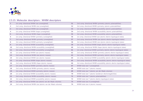

# **2.5.15. Molecular descriptors : WHIM descriptors**

| $\mathbf{1}$   | 1st comp. directional WHIM size (unweighted)                   | 51 | 2nd comp. directional WHIM symmetry (atomic polarizabilities)                |
|----------------|----------------------------------------------------------------|----|------------------------------------------------------------------------------|
| $\overline{2}$ | 2nd comp. directional WHIM size (unweighted)                   | 52 | 3rd comp. directional WHIM symmetry (atomic polarizabilities)                |
| $\mathbf{3}$   | 3rd comp. directional WHIM size (unweighted)                   | 53 | 1st comp. directional WHIM accessibility (atomic polarizabilities)           |
| 4              | 1st comp. directional WHIM shape (unweighted)                  | 54 | 2nd comp. directional WHIM accessibility (atomic polarizabilities)           |
| 5              | 2nd comp. directional WHIM shape (unweighted)                  | 55 | 3rd comp. directional WHIM accessibility (atomic polarizabilities)           |
| 6              | 1st comp. directional WHIM symmetry (unweighted)               | 56 | 1st comp. directional WHIM size (atomic electro-topological states)          |
| $\overline{7}$ | 2nd comp. directional WHIM symmetry (unweighted)               | 57 | 2nd comp. directional WHIM size (atomic electro-topological states)          |
| 8              | 3rd comp. directional WHIM symmetry (unweighted)               | 58 | 3rd comp. directional WHIM size (atomic electro-topological states)          |
| 9              | 1st comp. directional WHIM accessibility (unweighted)          | 59 | 1st comp. directional WHIM shape (atomic electro-topological states)         |
| 10             | 2nd comp. directional WHIM accessibility (unweighted)          | 60 | 2nd comp. directional WHIM shape (atomic electro-topological states)         |
| 11             | 3rd comp. directional WHIM accessibility (unweighted)          | 61 | 1st comp. directional WHIM symmetry (atomic electro-topological states)      |
| 12             | 1st comp. directional WHIM size (atomic masses)                | 62 | 2nd comp. directional WHIM symmetry (atomic electro-topological states)      |
| 13             | 2nd comp. directional WHIM size (atomic masses)                | 63 | 3rd comp. directional WHIM symmetry (atomic electro-topological states)      |
| 14             | 3rd comp. directional WHIM size (atomic masses)                | 64 | 1st comp. directional WHIM accessibility (atomic electro-topological states) |
| 15             | 1st comp. directional WHIM shape (atomic masses)               | 65 | 2nd comp. directional WHIM accessibility (atomic electro-topological states) |
| 16             | 2nd comp. directional WHIM shape (atomic masses)               | 66 | 3rd comp. directional WHIM accessibility (atomic electro-topological states) |
| 17             | 1st comp. directional WHIM symmetry (atomic masses)            | 67 | WHIM total size T (unweighted)                                               |
| 18             | 2nd comp. directional WHIM symmetry (atomic masses)            | 68 | WHIM total size T (atomic masses)                                            |
| 19             | 3rd comp. directional WHIM symmetry (atomic masses)            | 69 | WHIM total size T (atomic van der Waals volumes)                             |
| 20             | 1st comp. directional WHIM accessibility (atomic masses)       | 70 | WHIM total size T (atomic Sanderson electronegativities)                     |
| 21             | 2nd comp. directional WHIM accessibility (atomic masses)       | 71 | WHIM total size T (atomic polarizabilities)                                  |
| 22             | 3rd comp. directional WHIM accessibility (atomic masses)       | 72 | WHIM total size T (atomic electro-topological states)                        |
| 23             | 1st comp. directional WHIM size (atomic van der Waals volumes) | 73 | WHIM total size A (unweighted)                                               |
| 24             | 2nd comp. directional WHIM size (atomic van der Waals volumes) | 74 | WHIM total size A (atomic masses)                                            |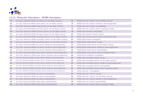

# **2.5.15. Molecular descriptors : WHIM descriptors**

| 25 | 3rd comp. directional WHIM size (atomic van der Waals volumes)                  | 75 | WHIM total size A (atomic van der Waals volumes)                |
|----|---------------------------------------------------------------------------------|----|-----------------------------------------------------------------|
| 26 | 1st comp. directional WHIM shape (atomic van der Waals volumes)                 | 76 | WHIM total size A (atomic Sanderson electronegativities)        |
| 27 | 2nd comp. directional WHIM shape (atomic van der Waals volumes)                 | 77 | WHIM total size A (atomic polarizabilities)                     |
| 28 | 1st comp. directional WHIM symmetry (atomic van der Waals volumes)              | 78 | WHIM total size A (atomic electro-topological states)           |
| 29 | 2nd comp. directional WHIM symmetry (atomic van der Waals volumes)              | 79 | WHIM total symmetry (unweighted)                                |
| 30 | 3rd comp. directional WHIM symmetry (atomic van der Waals volumes)              | 80 | WHIM total symmetry (atomic masses)                             |
| 31 | 1st comp. directional WHIM accessibility (atomic van der Waals volumes)         | 81 | WHIM total symmetry (atomic electro-topological states)         |
| 32 | 2nd comp. directional WHIM accessibility (atomic van der Waals volumes)         | 82 | WHIM global shape (unweighted)                                  |
| 33 | 3rd comp. directional WHIM accessibility (atomic van der Waals volumes)         | 83 | WHIM global shape (atomic masses)                               |
| 34 | 1st comp. directional WHIM size (atomic Sanderson electronegativities)          | 84 | WHIM global shape (atomic van der Waals volumes)                |
| 35 | 2nd comp. directional WHIM size (atomic Sanderson electronegativities)          | 85 | WHIM global shape (atomic Sanderson electronegativities)        |
| 36 | 3rd comp. directional WHIM size (atomic Sanderson electronegativities)          | 86 | WHIM global shape (atomic polarizabilities)                     |
| 37 | 1st comp. directional WHIM shape (atomic Sanderson electronegativities)         | 87 | WHIM global shape (atomic electro-topological states)           |
| 38 | 2nd comp. directional WHIM shape (atomic Sanderson electronegativities)         | 88 | WHIM total accessibility (unweighted)                           |
| 39 | 1st comp. directional WHIM symmetry (atomic Sanderson electronegativities)      | 89 | WHIM total accessibility (atomic masses)                        |
| 40 | 2nd comp. directional WHIM symmetry (atomic Sanderson electronegativities)      | 90 | WHIM total accessibility (atomic van der Waals volumes)         |
| 41 | 3rd comp. directional WHIM symmetry (atomic Sanderson electronegativities)      | 91 | WHIM total accessibility (atomic Sanderson electronegativities) |
| 42 | 1st comp. directional WHIM accessibility (atomic Sanderson electronegativities) | 92 | WHIM total accessibility (atomic polarizabilities)              |
| 43 | 2nd comp. directional WHIM accessibility (atomic Sanderson electronegativities) | 93 | WHIM total accessibility (atomic electro-topological states)    |
| 44 | 3rd comp. directional WHIM accessibility (atomic Sanderson electronegativities) | 94 | WHIM total size V (unweighted)                                  |
| 45 | 1st comp. directional WHIM size (atomic polarizabilities)                       | 95 | WHIM total size V (atomic masses)                               |
| 46 | 2nd comp. directional WHIM size (atomic polarizabilities)                       | 96 | WHIM total size V (atomic van der Waals volumes)                |
| 47 | 3rd comp. directional WHIM size (atomic polarizabilities)                       | 97 | WHIM total size V (atomic Sanderson electronegativities)        |
| 48 | 1st comp. directional WHIM shape (atomic polarizabilities)                      | 98 | WHIM total size V (atomic polarizabilities)                     |
| 49 | 2nd comp. directional WHIM shape (atomic polarizabilities)                      | 99 | WHIM total size V (atomic electro-topological states)           |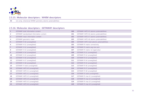

#### **2.5.15. Molecular descriptors : WHIM descriptors**

1st comp. directional WHIM symmetry (atomic polarizabilities)

| $\mathbf{1}$   | <b>GETAWAY total information content</b> | 100 | GETAWAY HATS k5 (atomic polarizabilities)    |
|----------------|------------------------------------------|-----|----------------------------------------------|
| $\overline{2}$ | GETAWAY standardized information content | 101 | GETAWAY HATS k6 (atomic polarizabilities)    |
| $\mathbf{3}$   | GETAWAY mean information content         | 102 | GETAWAY HATS k7 (atomic polarizabilities)    |
| 4              | GETAWAY geometric mean                   | 103 | GETAWAY HATS k8 (atomic polarizabilities)    |
| 5 <sup>1</sup> | GETAWAY H k0 (unweighted)                | 104 | GETAWAY HATS total (atomic polarizabilities) |
| 6              | GETAWAY H k1 (unweighted)                | 105 | <b>GETAWAY R matrix connectivity</b>         |
| $\overline{7}$ | GETAWAY H k2 (unweighted)                | 106 | GETAWAY R matrix avg row sum                 |
| 8              | GETAWAY H k3 (unweighted)                | 107 | GETAWAY R matrix 1st eigenvalue              |
| 9              | GETAWAY H k4 (unweighted)                | 108 | GETAWAY R k1 (unweighted)                    |
| 10             | GETAWAY H k5 (unweighted)                | 109 | GETAWAY R k2 (unweighted)                    |
| 11             | GETAWAY H k6 (unweighted)                | 110 | GETAWAY R k3 (unweighted)                    |
| 12             | GETAWAY H k7 (unweighted)                | 111 | GETAWAY R k4 (unweighted)                    |
| 13             | GETAWAY H k8 (unweighted)                | 112 | GETAWAY R k5 (unweighted)                    |
| 14             | GETAWAY H total (unweighted)             | 113 | GETAWAY R k6 (unweighted)                    |
| 15             | GETAWAY HATS k0 (unweighted)             | 114 | GETAWAY R k7 (unweighted)                    |
| 16             | GETAWAY HATS k1 (unweighted)             | 115 | GETAWAY R k8 (unweighted)                    |
| 17             | GETAWAY HATS k2 (unweighted)             | 116 | GETAWAY R total (unweighted)                 |
| 18             | GETAWAY HATS k3 (unweighted)             | 117 | GETAWAY R max k1 (unweighted)                |
| 19             | GETAWAY HATS k4 (unweighted)             | 118 | GETAWAY R max k2 (unweighted)                |
| 20             | GETAWAY HATS k5 (unweighted)             | 119 | GETAWAY R max k3 (unweighted)                |
| 21             | GETAWAY HATS k6 (unweighted)             | 120 | GETAWAY R max k4 (unweighted)                |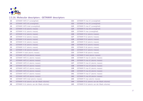

| 22 | GETAWAY HATS k7 (unweighted)                | 121 | GETAWAY R max k5 (unweighted)               |
|----|---------------------------------------------|-----|---------------------------------------------|
| 23 | GETAWAY HATS k8 (unweighted)                | 122 | GETAWAY R max k6 (unweighted)               |
| 24 | GETAWAY HATS total (unweighted)             | 123 | GETAWAY R max k7 (unweighted)               |
| 25 | GETAWAY H k0 (atomic masses)                | 124 | GETAWAY R max k8 (unweighted)               |
| 26 | GETAWAY H k1 (atomic masses)                | 125 | GETAWAY R max (unweighted)                  |
| 27 | GETAWAY H k2 (atomic masses)                | 126 | GETAWAY R k1 (atomic masses)                |
| 28 | GETAWAY H k3 (atomic masses)                | 127 | GETAWAY R k2 (atomic masses)                |
| 29 | GETAWAY H k4 (atomic masses)                | 128 | GETAWAY R k3 (atomic masses)                |
| 30 | GETAWAY H k5 (atomic masses)                | 129 | GETAWAY R k4 (atomic masses)                |
| 31 | GETAWAY H k6 (atomic masses)                | 130 | GETAWAY R k5 (atomic masses)                |
| 32 | GETAWAY H k7 (atomic masses)                | 131 | GETAWAY R k6 (atomic masses)                |
| 33 | GETAWAY H k8 (atomic masses)                | 132 | GETAWAY R k7 (atomic masses)                |
| 34 | GETAWAY H total (atomic masses)             | 133 | GETAWAY R k8 (atomic masses)                |
| 35 | GETAWAY HATS k0 (atomic masses)             | 134 | GETAWAY R total (atomic masses)             |
| 36 | GETAWAY HATS k1 (atomic masses)             | 135 | GETAWAY R max k1 (atomic masses)            |
| 37 | GETAWAY HATS k2 (atomic masses)             | 136 | GETAWAY R max k2 (atomic masses)            |
| 38 | GETAWAY HATS k3 (atomic masses)             | 137 | GETAWAY R max k3 (atomic masses)            |
| 39 | GETAWAY HATS k4 (atomic masses)             | 138 | GETAWAY R max k4 (atomic masses)            |
| 40 | GETAWAY HATS k5 (atomic masses)             | 139 | GETAWAY R max k5 (atomic masses)            |
| 41 | GETAWAY HATS k6 (atomic masses)             | 140 | GETAWAY R max k6 (atomic masses)            |
| 42 | GETAWAY HATS k7 (atomic masses)             | 141 | GETAWAY R max k7 (atomic masses)            |
| 43 | GETAWAY HATS k8 (atomic masses)             | 142 | GETAWAY R max k8 (atomic masses)            |
| 44 | GETAWAY HATS total (atomic masses)          | 143 | GETAWAY R max (atomic masses)               |
| 45 | GETAWAY H k0 (atomic van der Waals volumes) | 144 | GETAWAY R k1 (atomic van der Waals volumes) |
| 46 | GETAWAY H k1 (atomic van der Waals volumes) | 145 | GETAWAY R k2 (atomic van der Waals volumes) |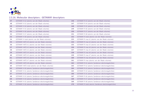

| 47 | GETAWAY H k2 (atomic van der Waals volumes)         | 146        | GETAWAY R k3 (atomic van der Waals volumes)            |
|----|-----------------------------------------------------|------------|--------------------------------------------------------|
| 48 | GETAWAY H k3 (atomic van der Waals volumes)         | 147        | GETAWAY R k4 (atomic van der Waals volumes)            |
| 49 | GETAWAY H k4 (atomic van der Waals volumes)         | 148        | GETAWAY R k5 (atomic van der Waals volumes)            |
| 50 | GETAWAY H k5 (atomic van der Waals volumes)         | 149        | GETAWAY R k6 (atomic van der Waals volumes)            |
| 51 | GETAWAY H k6 (atomic van der Waals volumes)         | <b>150</b> | GETAWAY R k7 (atomic van der Waals volumes)            |
| 52 | GETAWAY H k7 (atomic van der Waals volumes)         | 151        | GETAWAY R k8 (atomic van der Waals volumes)            |
| 53 | GETAWAY H k8 (atomic van der Waals volumes)         | 152        | GETAWAY R total (atomic van der Waals volumes)         |
| 54 | GETAWAY H total (atomic van der Waals volumes)      | 153        | GETAWAY R max k1 (atomic van der Waals volumes)        |
| 55 | GETAWAY HATS k0 (atomic van der Waals volumes)      | 154        | GETAWAY R max k2 (atomic van der Waals volumes)        |
| 56 | GETAWAY HATS k1 (atomic van der Waals volumes)      | 155        | GETAWAY R max k3 (atomic van der Waals volumes)        |
| 57 | GETAWAY HATS k2 (atomic van der Waals volumes)      | 156        | GETAWAY R max k4 (atomic van der Waals volumes)        |
| 58 | GETAWAY HATS k3 (atomic van der Waals volumes)      | 157        | GETAWAY R max k5 (atomic van der Waals volumes)        |
| 59 | GETAWAY HATS k4 (atomic van der Waals volumes)      | 158        | GETAWAY R max k6 (atomic van der Waals volumes)        |
| 60 | GETAWAY HATS k5 (atomic van der Waals volumes)      | 159        | GETAWAY R max k7 (atomic van der Waals volumes)        |
| 61 | GETAWAY HATS k6 (atomic van der Waals volumes)      | <b>160</b> | GETAWAY R max k8 (atomic van der Waals volumes)        |
| 62 | GETAWAY HATS k7 (atomic van der Waals volumes)      | 161        | GETAWAY R max (atomic van der Waals volumes)           |
| 63 | GETAWAY HATS k8 (atomic van der Waals volumes)      | 162        | GETAWAY R k1 (atomic Sanderson electronegativities)    |
| 64 | GETAWAY HATS total (atomic van der Waals volumes)   | 163        | GETAWAY R k2 (atomic Sanderson electronegativities)    |
| 65 | GETAWAY H k0 (atomic Sanderson electronegativities) | 164        | GETAWAY R k3 (atomic Sanderson electronegativities)    |
| 66 | GETAWAY H k1 (atomic Sanderson electronegativities) | 165        | GETAWAY R k4 (atomic Sanderson electronegativities)    |
| 67 | GETAWAY H k2 (atomic Sanderson electronegativities) | 166        | GETAWAY R k5 (atomic Sanderson electronegativities)    |
| 68 | GETAWAY H k3 (atomic Sanderson electronegativities) | 167        | GETAWAY R k6 (atomic Sanderson electronegativities)    |
| 69 | GETAWAY H k4 (atomic Sanderson electronegativities) | 168        | GETAWAY R k7 (atomic Sanderson electronegativities)    |
| 70 | GETAWAY H k5 (atomic Sanderson electronegativities) | 169        | GETAWAY R k8 (atomic Sanderson electronegativities)    |
| 71 | GETAWAY H k6 (atomic Sanderson electronegativities) | 170        | GETAWAY R total (atomic Sanderson electronegativities) |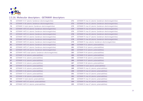

| 72 | GETAWAY H k7 (atomic Sanderson electronegativities)       | 171        | GETAWAY R max k1 (atomic Sanderson electronegativities) |
|----|-----------------------------------------------------------|------------|---------------------------------------------------------|
| 73 | GETAWAY H k8 (atomic Sanderson electronegativities)       | 172        | GETAWAY R max k2 (atomic Sanderson electronegativities) |
| 74 | GETAWAY H total (atomic Sanderson electronegativities)    | 173        | GETAWAY R max k3 (atomic Sanderson electronegativities) |
| 75 | GETAWAY HATS k0 (atomic Sanderson electronegativities)    | 174        | GETAWAY R max k4 (atomic Sanderson electronegativities) |
| 76 | GETAWAY HATS k1 (atomic Sanderson electronegativities)    | 175        | GETAWAY R max k5 (atomic Sanderson electronegativities) |
| 77 | GETAWAY HATS k2 (atomic Sanderson electronegativities)    | 176        | GETAWAY R max k6 (atomic Sanderson electronegativities) |
| 78 | GETAWAY HATS k3 (atomic Sanderson electronegativities)    | 177        | GETAWAY R max k7 (atomic Sanderson electronegativities) |
| 79 | GETAWAY HATS k4 (atomic Sanderson electronegativities)    | 178        | GETAWAY R max k8 (atomic Sanderson electronegativities) |
| 80 | GETAWAY HATS k5 (atomic Sanderson electronegativities)    | 179        | GETAWAY R max (atomic Sanderson electronegativities)    |
| 81 | GETAWAY HATS k6 (atomic Sanderson electronegativities)    | <b>180</b> | GETAWAY R k1 (atomic polarizabilities)                  |
| 82 | GETAWAY HATS k7 (atomic Sanderson electronegativities)    | 181        | GETAWAY R k2 (atomic polarizabilities)                  |
| 83 | GETAWAY HATS k8 (atomic Sanderson electronegativities)    | 182        | GETAWAY R k3 (atomic polarizabilities)                  |
| 84 | GETAWAY HATS total (atomic Sanderson electronegativities) | 183        | GETAWAY R k4 (atomic polarizabilities)                  |
| 85 | GETAWAY H k0 (atomic polarizabilities)                    | 184        | GETAWAY R k5 (atomic polarizabilities)                  |
| 86 | GETAWAY H k1 (atomic polarizabilities)                    | 185        | GETAWAY R k6 (atomic polarizabilities)                  |
| 87 | GETAWAY H k2 (atomic polarizabilities)                    | 186        | GETAWAY R k7 (atomic polarizabilities)                  |
| 88 | GETAWAY H k3 (atomic polarizabilities)                    | 187        | GETAWAY R k8 (atomic polarizabilities)                  |
| 89 | GETAWAY H k4 (atomic polarizabilities)                    | 188        | GETAWAY R total (atomic polarizabilities)               |
| 90 | GETAWAY H k5 (atomic polarizabilities)                    | 189        | GETAWAY R max k1 (atomic polarizabilities)              |
| 91 | GETAWAY H k6 (atomic polarizabilities)                    | 190        | GETAWAY R max k2 (atomic polarizabilities)              |
| 92 | GETAWAY H k7 (atomic polarizabilities)                    | 191        | GETAWAY R max k3 (atomic polarizabilities)              |
| 93 | GETAWAY H k8 (atomic polarizabilities)                    | 192        | GETAWAY R max k4 (atomic polarizabilities)              |
| 94 | GETAWAY H total (atomic polarizabilities)                 | 193        | GETAWAY R max k5 (atomic polarizabilities)              |
| 95 | GETAWAY HATS k0 (atomic polarizabilities)                 | 194        | GETAWAY R max k6 (atomic polarizabilities)              |
| 96 | GETAWAY HATS k1 (atomic polarizabilities)                 | 195        | GETAWAY R max k7 (atomic polarizabilities)              |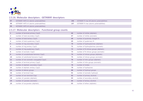

| -97 | GETAWAY HATS k2 (atomic polarizabilities) | GETAWAY R max k8 (atomic polarizabilities) |
|-----|-------------------------------------------|--------------------------------------------|
| -98 | GETAWAY HATS k3 (atomic polarizabilities) | GETAWAY R max (atomic polarizabilities)    |
| -99 | GETAWAY HATS k4 (atomic polarizabilities) |                                            |

#### **2.5.17. Molecular descriptors : Functional group counts**

| $\mathbf{1}$   | number of terminal primary C(sp3)        | 66 | number of nitriles (aliphatic)         |
|----------------|------------------------------------------|----|----------------------------------------|
| $\overline{2}$ | number of total secondary C(sp3)         | 67 | number of nitriles (aromatic)          |
| $\mathbf{3}$   | number of total tertiary C(sp3)          | 68 | number of positively charged N         |
| 4              | number of total quaternary C(sp3)        | 69 | number of quaternary N                 |
| 5              | number of ring secondary C(sp3)          | 70 | number of hydroxylamines (aliphatic)   |
| 6              | number of ring tertiary C(sp3)           | 71 | number of hydroxylamines (aromatic)    |
| $\overline{7}$ | number of ring quaternary C(sp3)         | 72 | number of N-nitroso groups (aliphatic) |
| 8              | number of aromatic C(sp2)                | 73 | number of N-nitroso groups (aromatic)  |
| 9              | number of unsubstituted benzene C(sp2)   | 74 | number of nitroso groups (aliphatic)   |
| 10             | number of substituted benzene C(sp2)     | 75 | number of nitroso groups (aromatic)    |
| 11             | number of non-aromatic conjugated C(sp2) | 76 | number of nitro groups (aliphatic)     |
| 12             | number of terminal primary C(sp2)        | 77 | number of nitro groups (aromatic)      |
| 13             | number of aliphatic secondary C(sp2)     | 78 | number of imides                       |
| 14             | number of aliphatic tertiary C(sp2)      | 79 | number of hydrazones                   |
| 15             | number of allenes groups                 | 80 | number of hydroxyl groups              |
| 16             | number of terminal C(sp)                 | 81 | number of aromatic hydroxyls           |
| 17             | number of non-terminal C(sp)             | 82 | number of primary alcohols             |
| 18             | number of cyanates (aliphatic)           | 83 | number of secondary alcohols           |
| 19             | number of cyanates (aromatic)            | 84 | number of tertiary alcohols            |
| 20             | number of isocyanates (aliphatic)        | 85 | number of ethers (aliphatic)           |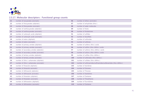

# **2.5.17. Molecular descriptors : Functional group counts**

| 21 | number of isocyanates (aromatic)         | 86  | number of ethers (aromatic)                                      |
|----|------------------------------------------|-----|------------------------------------------------------------------|
| 22 | number of thiocyanates (aliphatic)       | 87  | number of anhydrides (thio-)                                     |
| 23 | number of thiocyanates (aromatic)        | 88  | number of water molecules                                        |
| 24 | number of isothiocyanates (aliphatic)    | 89  | number of thiols                                                 |
| 25 | number of isothiocyanates (aromatic)     | 90  | number of thioketones                                            |
| 26 | number of carboxylic acids (aliphatic)   | 91  | number of sulfides                                               |
| 27 | number of carboxylic acids (aromatic)    | 92  | number of disulfides                                             |
| 28 | number of esters (aliphatic)             | 93  | number of sulfoxides                                             |
| 29 | number of esters (aromatic)              | 94  | number of sulfones                                               |
| 30 | number of primary amides (aliphatic)     | 95  | number of sulfenic (thio-) acids                                 |
| 31 | number of primary amides (aromatic)      | 96  | number of sulfinic (thio-/dithio-) acids                         |
| 32 | number of secondary amides (aliphatic)   | 97  | number of sulfonic (thio-/dithio-) acids                         |
| 33 | number of secondary amides (aromatic)    | 98  | number of sulfuric (thio-/dithio-) acids                         |
| 34 | number of tertiary amides (aliphatic)    | 99  | number of sulfites (thio-/dithio-)                               |
| 35 | number of tertiary amides (aromatic)     | 100 | number of sulfonates (thio-/dithio-)                             |
| 36 | number of (thio-) carbamates (aliphatic) | 101 | number of sulfates (thio-/dithio-)                               |
| 37 | number of (thio-) carbamates (aromatic)  | 102 | number of sulfonamides/sulfinamides/sulfenamides (thio-/dithio-) |
| 38 | number of thioacids (aliphatic)          | 103 | number of Aziridines                                             |
| 39 | number of thioacids (aromatic)           | 104 | number of Oxiranes                                               |
| 40 | number of dithioacids (aliphatic)        | 105 | number of Thiranes                                               |
| 41 | number of dithioacids (aromatic)         | 106 | number of Azetidines                                             |
| 42 | number of thioesters (aliphatic)         | 107 | number of Oxetanes                                               |
| 43 | number of thioesters (aromatic)          | 108 | number of Thioethanes                                            |
| 44 | number of dithioesters (aliphatic)       | 109 | number of Pyrrolidines                                           |
| 45 | number of dithioesters (aromatic)        | 110 | number of Oxolanes                                               |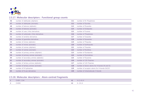

#### **2.5.17. Molecular descriptors : Functional group counts**

| 46 | number of aldehydes (aliphatic)         | 111 | number of th-Thiophenes                      |
|----|-----------------------------------------|-----|----------------------------------------------|
| 47 | number of aldehydes (aromatic)          | 112 | number of Pyrroles                           |
| 48 | number of ketones (aliphatic)           | 113 | number of Pyrazoles                          |
| 49 | number of ketones (aromatic)            | 114 | number of Imidazoles                         |
| 50 | number of urea (-thio) derivatives      | 115 | number of Furanes                            |
| 51 | number of carbonate (-thio) derivatives | 116 | number of Thiophenes                         |
| 52 | number of amidine derivatives           | 117 | number of Oxazoles                           |
| 53 | number of guanidine derivatives         | 118 | number of Isoxazoles                         |
| 54 | number of imines (aliphatic)            | 119 | number of Thiazoles                          |
| 55 | number of imines (aromatic)             | 120 | number of Isothiazoles                       |
| 56 | number of oximes (aliphatic)            | 121 | number of Triazoles                          |
| 57 | number of oximes (aromatic)             | 122 | number of Pyridines                          |
| 58 | number of primary amines (aliphatic)    | 123 | number of Pyridazines                        |
| 59 | number of primary amines (aromatic)     | 124 | number of Pyrimidines                        |
| 60 | number of secondary amines (aliphatic)  | 125 | number of Pyrazines                          |
| 61 | number of secondary amines (aromatic)   | 126 | number of 135-Triazines                      |
| 62 | number of tertiary amines (aliphatic)   | 127 | number of 124-Triazines                      |
| 63 | number of tertiary amines (aromatic)    | 128 | number of donor atoms for H-bonds (N and O)  |
| 64 | number of N hydrazines                  | 129 | number of acceptor atoms for H-bonds (N,O,F) |
| 65 | number of N azo-derivatives             | 130 | number of intramolecular H-bonds             |

#### **2.5.18. Molecular descriptors : Atom-centred fragments**

| - 14               | CH3R / CH4                     | 41 | $X-C(=X)-X$  |
|--------------------|--------------------------------|----|--------------|
| $\mathcal{L}$<br>- | CH <sub>2</sub> R <sub>2</sub> | 42 | $X$ --CH $X$ |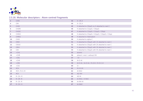

# **2.5.18. Molecular descriptors : Atom-centred fragments**

| $\overline{\mathbf{3}}$ | CHR <sub>3</sub>               | 43 | $X$ --CR $.X$                                      |
|-------------------------|--------------------------------|----|----------------------------------------------------|
| 4                       | CR4                            | 44 | $X$ --CX $X$                                       |
| 5                       | CH <sub>3</sub> X              | 45 | H attached to C0(sp3) no X attached to next C      |
| 6                       | CH <sub>2RX</sub>              | 46 | H attached to C1(sp3) / C0(sp2)                    |
| $\overline{7}$          | CH <sub>2</sub> X <sub>2</sub> | 47 | H attached to C2(sp3) / C1(sp2) / C0(sp)           |
| 8                       | CHR <sub>2X</sub>              | 48 | H attached to C3(sp3) / C2(sp2) / C3(sp2) / C3(sp) |
| 9                       | CHRX2                          | 49 | H attached to heteroatom                           |
| 10                      | CHX3                           | 50 | H attached to alpha-C                              |
| 11                      | CR3X                           | 51 | H attached to C0(sp3) with 1X attached to next C   |
| 12                      | CR <sub>2</sub> X <sub>2</sub> | 52 | H attached to C0(sp3) with 2X attached to next C   |
| 13                      | CRX3                           | 53 | H attached to C0(sp3) with 3X attached to next C   |
| 14                      | CX4                            | 54 | H attached to C0(sp3) with 4X attached to next C   |
| 15                      | $=CH2$                         | 55 | alcohol                                            |
| 16                      | $=CHR$                         | 56 | phenol / enol / carboxyl OH                        |
| 17                      | $=CR2$                         | 57 | $=$ O                                              |
| 18                      | $=CHX$                         | 58 | $AI-O-Al$                                          |
| <b>19</b>               | $=$ CRX                        | 59 | Al-O-Ar / Ar-O-Ar / R.O.R / R-O-C=X                |
| 20                      | $=CX2$                         | 60 | $O - -$                                            |
| 21                      | #CH                            | 61 | $R-O-O-R$                                          |
| 22                      | $\#CR / R = C = R$             | 62 | $AI-NH2$                                           |
| 23                      | #CX                            | 63 | $AI2-NH$                                           |
| 24                      | $R$ --CH-- $R$                 | 64 | $AI3-N$                                            |
| 25                      | $R - CR - R$                   | 65 | Ar-NH2 / X-NH2                                     |
| 26                      | $R - CX - R$                   | 66 | Ar-NH-Al                                           |
| 27                      | $R$ --CH-- $X$                 | 67 | Ar-NAI2                                            |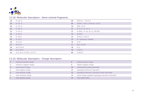

#### **2.5.18. Molecular descriptors : Atom-centred fragments**

| 28 | $R - CR - X$                | 68 | $RCO-N < / >N-X=X$            |
|----|-----------------------------|----|-------------------------------|
| 29 | $R - CX - X$                | 69 | Ar2NH / Ar3N / Ar2N-Al / RNR  |
| 30 | $X$ --CH-- $X$              | 70 | $R#N / R=N-$                  |
| 31 | $X - CR - X$                | 71 | $R - N - R / R - N - X$       |
| 32 | $X - CX - X$                | 72 | Ar-NO2 / R--N(--R)--O / RO-NO |
| 33 | $R$ --CH $.X$               | 73 | Al-NO <sub>2</sub>            |
| 34 | $R - CR.X$                  | 74 | $Ar-N=X / X-N=X$              |
| 35 | $R - CX.X$                  | 75 | N+ (positively charged)       |
| 36 | $AI-CH=X$                   | 76 | $R-SH$                        |
| 37 | $Ar-CH=X$                   | 77 | R <sub>2S</sub> / RS-SR       |
| 38 | $AI-C(=X)-AI$               | 78 | $R = S$                       |
| 39 | $Ar-C(=\times) - R$         | 79 | $R-SO-R$                      |
| 40 | $R-C(=X)-X / R-C#X / X=C=X$ | 80 | $R-SO2-R$                     |

#### **2.5.19. Molecular descriptors : Charge descriptors**

|   | maximum positive charge | 8         | relative positive charge                                  |
|---|-------------------------|-----------|-----------------------------------------------------------|
|   | maximum negative charge | q         | relative negative charge                                  |
|   | total positive charge   | <b>10</b> | submolecular polarity parameter                           |
|   | total negative charge   | 11        | topological electronic descriptor                         |
|   | total absolute charge   | 12        | topological electronic descriptor (bond resctricted)      |
| 6 | mean absolute charge    | 13        | partial charge weighted topological electronic descriptor |
|   | total squared charge    | 14        | local dipole index                                        |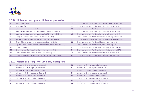

#### **2.5.20. Molecular descriptors : Molecular properties**

|    | unsaturation index                                                  | 14 | Ghose-Viswanadhan-Wendoloski antiinflammatory (covering 50%) |
|----|---------------------------------------------------------------------|----|--------------------------------------------------------------|
|    | hydrophilic factor                                                  | 15 | Ghose-Viswanadhan-Wendoloski antidepressant (covering 80%)   |
| 3  | Ghose-Crippen molar refractivity                                    | 16 | Ghose-Viswanadhan-Wendoloski antidepressant (covering 50%)   |
|    | fragment-based polar surface area from N,O polar coefficients)      | 17 | Ghose-Viswanadhan-Wendoloski antipsychotic (covering 80%)    |
| 5. | fragment-based polar surface area from N,O,S,P polar coefficients)  | 18 | Ghose-Viswanadhan-Wendoloski antipsychotic (covering 50%)    |
| 6  | Moriguchi octanol-water partition coefficient (MLOGP)               | 19 | Ghose-Viswanadhan-Wendoloski antihypertensive (covering 80%) |
|    | Squared Moriguchi octanol-water partition coefficient (MLOGP^2)     | 20 | Ghose-Viswanadhan-Wendoloski antihypertensive (covering 50%) |
| 8  | Ghose-Crippen octanol-water partition coefficient (ALOGP)           | 21 | Ghose-Viswanadhan-Wendoloski hypnotic (covering 80%)         |
| 9  | Squared Ghose-Crippen octanol-water partition coefficient (ALOGP^2) | 22 | Ghose-Viswanadhan-Wendoloski hypnotic (covering 50%)         |
| 10 | Lipinski Alert index                                                | 23 | Ghose-Viswanadhan-Wendoloski antineoplastic (covering 80%)   |
| 11 | Ghose-Viswanadhan-Wendoloski drug-like (covering 80%)               | 24 | Ghose-Viswanadhan-Wendoloski antineoplastic (covering 50%)   |
| 12 | Ghose-Viswanadhan-Wendoloski drug-like (covering 50%)               | 25 | Ghose-Viswanadhan-Wendoloski antiinfective (covering 80%)    |
| 13 | Ghose-Viswanadhan-Wendoloski antiinflammatory (covering 80%)        | 26 | Ghose-Viswanadhan-Wendoloski antiinfective (covering 50%)    |

#### **2.5.21. Molecular descriptors : 2D binary fingerprints**

|   | existence of C - C at topological distance 1 | 51 | existence of C - C at topological distance 6 |
|---|----------------------------------------------|----|----------------------------------------------|
|   | existence of C - N at topological distance 1 | 52 | existence of C - N at topological distance 6 |
|   | existence of C - O at topological distance 1 | 53 | existence of C - O at topological distance 6 |
| 4 | existence of C - S at topological distance 1 | 54 | existence of C - S at topological distance 6 |
|   | existence of N - N at topological distance 1 | 55 | existence of N - N at topological distance 6 |
| 6 | existence of N - O at topological distance 1 | 56 | existence of N - O at topological distance 6 |
|   | existence of N - S at topological distance 1 | 57 | existence of N - S at topological distance 6 |
| 8 | existence of O - O at topological distance 1 | 58 | existence of O - O at topological distance 6 |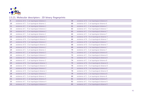

#### **2.5.21. Molecular descriptors : 2D binary fingerprints**

| 9 <sup>°</sup> | existence of O - S at topological distance 1 | 59 | existence of O - S at topological distance 6 |
|----------------|----------------------------------------------|----|----------------------------------------------|
| 10             | existence of S - S at topological distance 1 | 60 | existence of S - S at topological distance 6 |
| 11             | existence of C - C at topological distance 2 | 61 | existence of C - C at topological distance 7 |
| 12             | existence of C - N at topological distance 2 | 62 | existence of C - N at topological distance 7 |
| 13             | existence of C - O at topological distance 2 | 63 | existence of C - O at topological distance 7 |
| 14             | existence of C - S at topological distance 2 | 64 | existence of C - S at topological distance 7 |
| 15             | existence of N - N at topological distance 2 | 65 | existence of N - N at topological distance 7 |
| <b>16</b>      | existence of N - O at topological distance 2 | 66 | existence of N - O at topological distance 7 |
| 17             | existence of N - S at topological distance 2 | 67 | existence of N - S at topological distance 7 |
| 18             | existence of O - O at topological distance 2 | 68 | existence of O - O at topological distance 7 |
| 19             | existence of O - S at topological distance 2 | 69 | existence of O - S at topological distance 7 |
| 20             | existence of S - S at topological distance 2 | 70 | existence of S - S at topological distance 7 |
| 21             | existence of C - C at topological distance 3 | 71 | existence of C - C at topological distance 8 |
| 22             | existence of C - N at topological distance 3 | 72 | existence of C - N at topological distance 8 |
| 23             | existence of C - O at topological distance 3 | 73 | existence of C - O at topological distance 8 |
| 24             | existence of C - S at topological distance 3 | 74 | existence of C - S at topological distance 8 |
| 25             | existence of N - N at topological distance 3 | 75 | existence of N - N at topological distance 8 |
| 26             | existence of N - O at topological distance 3 | 76 | existence of N - O at topological distance 8 |
| 27             | existence of N - S at topological distance 3 | 77 | existence of N - S at topological distance 8 |
| 28             | existence of O - O at topological distance 3 | 78 | existence of O - O at topological distance 8 |
| 29             | existence of O - S at topological distance 3 | 79 | existence of O - S at topological distance 8 |
| 30             | existence of S - S at topological distance 3 | 80 | existence of S - S at topological distance 8 |
| 31             | existence of C - C at topological distance 4 | 81 | existence of C - C at topological distance 9 |
| 32             | existence of C - N at topological distance 4 | 82 | existence of C - N at topological distance 9 |
| 33             | existence of C - O at topological distance 4 | 83 | existence of C - O at topological distance 9 |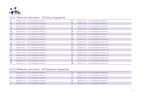

#### **2.5.21. Molecular descriptors : 2D binary fingerprints**

| 34 | existence of C - S at topological distance 4 | 84  | existence of C - S at topological distance 9  |
|----|----------------------------------------------|-----|-----------------------------------------------|
| 35 | existence of N - N at topological distance 4 | 85  | existence of N - N at topological distance 9  |
| 36 | existence of N - O at topological distance 4 | 86  | existence of N - O at topological distance 9  |
| 37 | existence of N - S at topological distance 4 | 87  | existence of N - S at topological distance 9  |
| 38 | existence of O - O at topological distance 4 | 88  | existence of O - O at topological distance 9  |
| 39 | existence of O - S at topological distance 4 | 89  | existence of O - S at topological distance 9  |
| 40 | existence of S - S at topological distance 4 | 90  | existence of S - S at topological distance 9  |
| 41 | existence of C - C at topological distance 5 | 91  | existence of C - C at topological distance 10 |
| 42 | existence of C - N at topological distance 5 | 92  | existence of C - N at topological distance 10 |
| 43 | existence of C - O at topological distance 5 | 93  | existence of C - O at topological distance 10 |
| 44 | existence of C - S at topological distance 5 | 94  | existence of C - S at topological distance 10 |
| 45 | existence of N - N at topological distance 5 | 95  | existence of N - N at topological distance 10 |
| 46 | existence of N - O at topological distance 5 | 96  | existence of N - O at topological distance 10 |
| 47 | existence of N - S at topological distance 5 | 97  | existence of N - S at topological distance 10 |
| 48 | existence of O - O at topological distance 5 | 98  | existence of O - O at topological distance 10 |
| 49 | existence of O - S at topological distance 5 | 99  | existence of O - S at topological distance 10 |
| 50 | existence of S - S at topological distance 5 | 100 | existence of S - S at topological distance 10 |

#### **2.5.22. Molecular descriptors : 2D frequency fingerprints**

| frequency of C - C at topological distance 1 |    | frequency of C - C at topological distance 6 |
|----------------------------------------------|----|----------------------------------------------|
| frequency of C - N at topological distance 1 | 52 | frequency of C - N at topological distance 6 |
| frequency of C - O at topological distance 1 | 53 | frequency of C - O at topological distance 6 |
| frequency of C - S at topological distance 1 | 54 | frequency of C - S at topological distance 6 |
| frequency of N - N at topological distance 1 | 55 | frequency of N - N at topological distance 6 |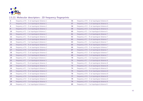

# **2.5.22. Molecular descriptors : 2D frequency fingerprints**

| 6                 | frequency of N - O at topological distance 1 | 56 | frequency of N - O at topological distance 6 |
|-------------------|----------------------------------------------|----|----------------------------------------------|
| $\overline{7}$    | frequency of N - S at topological distance 1 | 57 | frequency of N - S at topological distance 6 |
| 8                 | frequency of O - O at topological distance 1 | 58 | frequency of O - O at topological distance 6 |
| 9 <sup>°</sup>    | frequency of O - S at topological distance 1 | 59 | frequency of O - S at topological distance 6 |
| 10                | frequency of S - S at topological distance 1 | 60 | frequency of S - S at topological distance 6 |
| 11                | frequency of C - C at topological distance 2 | 61 | frequency of C - C at topological distance 7 |
| $12 \overline{ }$ | frequency of C - N at topological distance 2 | 62 | frequency of C - N at topological distance 7 |
| 13                | frequency of C - O at topological distance 2 | 63 | frequency of C - O at topological distance 7 |
| 14                | frequency of C - S at topological distance 2 | 64 | frequency of C - S at topological distance 7 |
| 15                | frequency of N - N at topological distance 2 | 65 | frequency of N - N at topological distance 7 |
| 16                | frequency of N - O at topological distance 2 | 66 | frequency of N - O at topological distance 7 |
| 17                | frequency of N - S at topological distance 2 | 67 | frequency of N - S at topological distance 7 |
| 18                | frequency of O - O at topological distance 2 | 68 | frequency of O - O at topological distance 7 |
| 19                | frequency of O - S at topological distance 2 | 69 | frequency of O - S at topological distance 7 |
| 20                | frequency of S - S at topological distance 2 | 70 | frequency of S - S at topological distance 7 |
| 21                | frequency of C - C at topological distance 3 | 71 | frequency of C - C at topological distance 8 |
| 22                | frequency of C - N at topological distance 3 | 72 | frequency of C - N at topological distance 8 |
| 23                | frequency of C - O at topological distance 3 | 73 | frequency of C - O at topological distance 8 |
| 24                | frequency of C - S at topological distance 3 | 74 | frequency of C - S at topological distance 8 |
| 25                | frequency of N - N at topological distance 3 | 75 | frequency of N - N at topological distance 8 |
| 26                | frequency of N - O at topological distance 3 | 76 | frequency of N - O at topological distance 8 |
| 27                | frequency of N - S at topological distance 3 | 77 | frequency of N - S at topological distance 8 |
| 28                | frequency of O - O at topological distance 3 | 78 | frequency of O - O at topological distance 8 |
| 29                | frequency of O - S at topological distance 3 | 79 | frequency of O - S at topological distance 8 |
| 30                | frequency of S - S at topological distance 3 | 80 | frequency of S - S at topological distance 8 |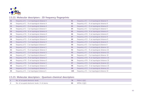

#### **2.5.22. Molecular descriptors : 2D frequency fingerprints**

| 31 | frequency of C - C at topological distance 4 | 81  | frequency of C - C at topological distance 9  |
|----|----------------------------------------------|-----|-----------------------------------------------|
| 32 | frequency of C - N at topological distance 4 | 82  | frequency of C - N at topological distance 9  |
| 33 | frequency of C - O at topological distance 4 | 83  | frequency of C - O at topological distance 9  |
| 34 | frequency of C - S at topological distance 4 | 84  | frequency of C - S at topological distance 9  |
| 35 | frequency of N - N at topological distance 4 | 85  | frequency of N - N at topological distance 9  |
| 36 | frequency of N - O at topological distance 4 | 86  | frequency of N - O at topological distance 9  |
| 37 | frequency of N - S at topological distance 4 | 87  | frequency of N - S at topological distance 9  |
| 38 | frequency of O - O at topological distance 4 | 88  | frequency of O - O at topological distance 9  |
| 39 | frequency of O - S at topological distance 4 | 89  | frequency of O - S at topological distance 9  |
| 40 | frequency of S - S at topological distance 4 | 90  | frequency of S - S at topological distance 9  |
| 41 | frequency of C - C at topological distance 5 | 91  | frequency of C - C at topological distance 10 |
| 42 | frequency of C - N at topological distance 5 | 92  | frequency of C - N at topological distance 10 |
| 43 | frequency of C - O at topological distance 5 | 93  | frequency of C - O at topological distance 10 |
| 44 | frequency of C - S at topological distance 5 | 94  | frequency of C - S at topological distance 10 |
| 45 | frequency of N - N at topological distance 5 | 95  | frequency of N - N at topological distance 10 |
| 46 | frequency of N - O at topological distance 5 | 96  | frequency of N - O at topological distance 10 |
| 47 | frequency of N - S at topological distance 5 | 97  | frequency of N - S at topological distance 10 |
| 48 | frequency of O - O at topological distance 5 | 98  | frequency of O - O at topological distance 10 |
| 49 | frequency of O - S at topological distance 5 | 99  | frequency of O - S at topological distance 10 |
| 50 | frequency of S - S at topological distance 5 | 100 | frequency of S - S at topological distance 10 |

| No. of occupied electronic levels                |    | FNSA-3 [OC] |
|--------------------------------------------------|----|-------------|
| No. of occupied electronic levels $/$ # of atoms | 80 | WPSA-3 [OC] |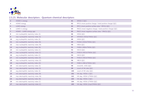

| 3              | HOMO-1 energy                          | 81  | WNSA-3 [QC]                                              |
|----------------|----------------------------------------|-----|----------------------------------------------------------|
| 4              | HOMO energy                            | 82  | RPCG (most positive charge / total positive charge) [QC] |
| 5              | LUMO energy                            | 83  | RPCS (most positive surface area * RPCG) [QC]            |
| 6              | LUMO+1 energy                          | 84  | RNCG (most negative charge / total positive charge) [QC] |
| $\overline{7}$ | HOMO - LUMO energy gap                 | 85  | RNCS (most negative surface area * RNCG) [QC]            |
| 8              | min nucleophilic reactivity index (S)  | 86  | HDSA [QC]                                                |
| 9              | max nucleophilic reactivity index (S)  | 87  | HFHDSA (HDSA/TMSA) [QC]                                  |
| 10             | avg nucleophilic reactivity index (S)  | 88  | HASA [QC]                                                |
| 11             | min nucleophilic reactivity index (N)  | 89  | FHASA (HASA/TMSA) [QC]                                   |
| 12             | max nucleophilic reactivity index (N)  | 90  | HBSA [QC]                                                |
| 13             | avg nucleophilic reactivity index (N)  | 91  | FHBSA (HBSA/TMSA) [QC]                                   |
| 14             | min nucleophilic reactivity index (C)  | 92  | HDCA [QC]                                                |
| 15             | max nucleophilic reactivity index (C)  | 93  | FHDCA (HDCA/TMSA) [QC]                                   |
| 16             | avg nucleophilic reactivity index (C)  | 94  | HACA [QC]                                                |
| 17             | min nucleophilic reactivity index (O)  | 95  | FHACA (HACA/TMSA) [QC]                                   |
| 18             | max nucleophilic reactivity index (O)  | 96  | HBCA [QC]                                                |
| 19             | avg nucleophilic reactivity index (O)  | 97  | FHBCA (HBCA/TMSA) [QC]                                   |
| 20             | min electrophilic reactivity index (S) | 98  | min(nHA, nHD) [QC]                                       |
| 21             | max electrophilic reactivity index (S) | 99  | count of HA sites [QC]                                   |
| 22             | avg electrophilic reactivity index (S) | 100 | count of HD sites [QC]                                   |
| 23             | min electrophilic reactivity index (N) | 101 | HA dep. HDSA-1 [QC]                                      |
| 24             | max electrophilic reactivity index (N) | 102 | HA dep. HDSA-1/TMSA [QC]                                 |
| 25             | avg electrophilic reactivity index (N) | 103 | HA dep. HDSA-2 [QC]                                      |
| 26             | min electrophilic reactivity index (C) | 104 | HA dep. HDSA-2/TMSA [QC]                                 |
| 27             | max electrophilic reactivity index (C) | 105 | HA dep. HDSA-2/sqrt(TMSA) [QC]                           |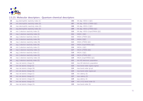

| 28 | avg electrophilic reactivity index (C) | 106 | HA dep. HDCA-1 [QC]            |
|----|----------------------------------------|-----|--------------------------------|
| 29 | min electrophilic reactivity index (O) | 107 | HA dep. HDCA-1/TMSA [QC]       |
| 30 | max electrophilic reactivity index (O) | 108 | HA dep. HDCA-2 [QC]            |
| 31 | avg electrophilic reactivity index (O) | 109 | HA dep. HDCA-2/TMSA [QC]       |
| 32 | min 1-electron reactivity index (S)    | 110 | HA dep. HDCA-2/sqrt(TMSA) [QC] |
| 33 | max 1-electron reactivity index (S)    | 111 | HASA-1 [QC]                    |
| 34 | avg 1-electron reactivity index (S)    | 112 | HASA-1/TMSA [QC]               |
| 35 | min 1-electron reactivity index (N)    | 113 | HASA-2 [QC]                    |
| 36 | max 1-electron reactivity index (N)    | 114 | HASA-2/TMSA [QC]               |
| 37 | avg 1-electron reactivity index (N)    | 115 | HASA-2/sqrt(TMSA) [QC]         |
| 38 | min 1-electron reactivity index (C)    | 116 | HACA-1 [QC]                    |
| 39 | max 1-electron reactivity index (C)    | 117 | HACA-1/TMSA [QC]               |
| 40 | avg 1-electron reactivity index (C)    | 118 | HACA-2 [QC]                    |
| 41 | min 1-electron reactivity index (O)    | 119 | HACA-2/TMSA [QC]               |
| 42 | max 1-electron reactivity index (O)    | 120 | HACA-2/sqrt(TMSA) [QC]         |
| 43 | avg 1-electron reactivity index (O)    | 121 | min AO electronic populaiton   |
| 44 | max net atomic charge (S)              | 122 | max AO electronic population   |
| 45 | min net atomic charge (S)              | 123 | max bond order (sigma-sigma)   |
| 46 | max net atomic charge (N)              | 124 | max bond order (pi-pi)         |
| 47 | min net atomic charge (N)              | 125 | max bond order (sigma-pi)      |
| 48 | max net atomic charge (C)              | 126 | min valency (S)                |
| 49 | min net atomic charge (C)              | 127 | max valency (S)                |
| 50 | max net atomic charge (O)              | 128 | avg valency (S)                |
| 51 | min net atomic charge (O)              | 129 | $min$ (>0.1) bond order (S)    |
| 52 | max net atomic charge (H)              | 130 | max bond order (S)             |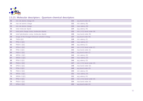

| 53 | min net atomic charge (H)                      | 131 | avg bond order (S)            |
|----|------------------------------------------------|-----|-------------------------------|
| 54 | max net atomic charge                          | 132 | min valency (N)               |
| 55 | min net atomic charge                          | 133 | max valency (N)               |
| 56 | total molecular dipole                         | 134 | avg valency (N)               |
| 57 | total point charge comp. (molecular dipole)    | 135 | $min$ (>0.1) bond order (N)   |
| 58 | total hybridization comp. (molecular dipole)   | 136 | max bond order (N)            |
| 59 | Image of the Onsager-Kirkwood solvation energy | 137 | avg bond order (N)            |
| 60 | TMSA [QC]                                      | 138 | min valency (C)               |
| 61 | PPSA-1 [QC]                                    | 139 | max valency (C)               |
| 62 | PNSA-1 [QC]                                    | 140 | avg valency (C)               |
| 63 | DPSA-1 [QC]                                    | 141 | min $(>0.1)$ bond order $(C)$ |
| 64 | FPSA-1 [QC]                                    | 142 | max bond order (C)            |
| 65 | <b>FNSA-1 [QC]</b>                             | 143 | avg bond order (C)            |
| 66 | WPSA-1 [QC]                                    | 144 | min valency (O)               |
| 67 | WNSA-1 [QC]                                    | 145 | max valency (O)               |
| 68 | PPSA-2 [QC]                                    | 146 | avg valency (O)               |
| 69 | PNSA-2 [QC]                                    | 147 | $min$ (>0.1) bond order (O)   |
| 70 | DPSA-2 [QC]                                    | 148 | max bond order (O)            |
| 71 | FPSA-2 [QC]                                    | 149 | avg bond order (O)            |
| 72 | <b>FNSA-2 [QC]</b>                             | 150 | min valency (H)               |
| 73 | WPSA-2 [QC]                                    | 151 | max valency (H)               |
| 74 | WNSA-2 [QC]                                    | 152 | avg valency (H)               |
| 75 | PPSA-3 [QC]                                    | 153 | $min$ (>0.1) bond order (H)   |
| 76 | PNSA-3 [QC]                                    | 154 | max bond order (H)            |
| 77 | DPSA-3 [QC]                                    | 155 | avg bond order (H)            |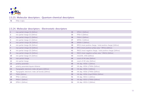

FPSA-3 [QC]

#### **2.5.24. Molecular descriptors : Electrostatic descriptors**

| $\mathbf{1}$   | max partial charge (S) [Zefirov]                   | 34 | DPSA-3 [Zefirov]                                              |
|----------------|----------------------------------------------------|----|---------------------------------------------------------------|
| $\overline{2}$ | min partial charge (S) [Zefirov]                   | 35 | FPSA-3 [Zefirov]                                              |
| 3 <sup>7</sup> | max partial charge (C) [Zefirov]                   | 36 | FNSA-3 [Zefirov]                                              |
| 4              | min partial charge (C) [Zefirov]                   | 37 | WPSA-3 [Zefirov]                                              |
| 5              | max partial charge (N) [Zefirov]                   | 38 | WNSA-3 [Zefirov]                                              |
| 6              | min partial charge (N) [Zefirov]                   | 39 | RPCG (most positive charge / total positive charge) [Zefirov] |
| $\overline{7}$ | max partial charge (O) [Zefirov]                   | 40 | RPCS (most positive surface area * RPCG) [Zefirov]            |
| 8              | min partial charge (O) [Zefirov]                   | 41 | RNCG (most negative charge / total positive charge) [Zefirov] |
| 9              | max partial charge (H) [Zefirov]                   | 42 | RNCS (most negative surface area * RNCG) [Zefirov]            |
| 10             | min partial charge (H) [Zefirov]                   | 43 | min(nHA, nHD) [Zefirov]                                       |
| 11             | man partial charge                                 | 44 | count of HA sites [Zefirov]                                   |
| 12             | min partial charge                                 | 45 | count of HD sites [Zefirov]                                   |
| 13             | polarity parameter                                 | 46 | HA dep. HDSA-1 [Zefirov]                                      |
| 14             | polarity parameter/square distance                 | 47 | HA dep. HDSA-1/TMSA [Zefirov]                                 |
| 15             | Topographic electronic index (all pairs) [Zefirov] | 48 | HA dep. HDSA-2 [Zefirov]                                      |
| 16             | Topographic electronic index (all bonds) [Zefirov] | 49 | HA dep. HDSA-2/TMSA [Zefirov]                                 |
| 17             | TMSA [Zefirov]                                     | 50 | HA dep. HDSA-2/sqrt(TMSA) [Zefirov]                           |
| 18             | PPSA-1 [Zefirov]                                   | 51 | HA dep. HDCA-1 [Zefirov]                                      |
| <b>19</b>      | PNSA-1 [Zefirov]                                   | 52 | HA dep. HDCA-1/TMSA [Zefirov]                                 |
| 20             | DPSA-1 [Zefirov]                                   | 53 | HA dep. HDCA-2 [Zefirov]                                      |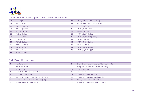

#### **2.5.24. Molecular descriptors : Electrostatic descriptors**

| 21 | FPSA-1 [Zefirov] | 54 | HA dep. HDCA-2/TMSA [Zefirov]       |
|----|------------------|----|-------------------------------------|
| 22 | FNSA-1 [Zefirov] | 55 | HA dep. HDCA-2/sqrt(TMSA) [Zefirov] |
| 23 | WPSA-1 [Zefirov] | 56 | HASA-1 [Zefirov]                    |
| 24 | WNSA-1 [Zefirov] | 57 | HASA-1/TMSA [Zefirov]               |
| 25 | PPSA-2 [Zefirov] | 58 | HASA-2 [Zefirov]                    |
| 26 | PNSA-2 [Zefirov] | 59 | HASA-2/TMSA [Zefirov]               |
| 27 | DPSA-2 [Zefirov] | 60 | HASA-2/sqrt(TMSA) [Zefirov]         |
| 28 | FPSA-2 [Zefirov] | 61 | HACA-1 [Zefirov]                    |
| 29 | FNSA-2 [Zefirov] | 62 | HACA-1/TMSA [Zefirov]               |
| 30 | WPSA-2 [Zefirov] | 63 | HACA-2 [Zefirov]                    |
| 31 | WNSA-2 [Zefirov] | 64 | HACA-2/TMSA [Zefirov]               |
| 32 | PPSA-3 [Zefirov] | 65 | HACA-2/sqrt(TMSA) [Zefirov]         |
| 33 | PNSA-3 [Zefirov] |    |                                     |

# **2.6. Drug Properties**

|    | Number of atoms                            | 9  | Ghose-Crippen octanol-water partition coeff. (logP) |
|----|--------------------------------------------|----|-----------------------------------------------------|
|    | molecular weight                           | 10 | Moriguchi octanol-water partition coeff. (logP)     |
| 3  | dipole moment                              | 11 | Lipinski Alert index                                |
| 4  | LogP (Octanol-Water Partition Coefficient) | 12 | Drug-likeness                                       |
|    | LogS (Water Solubility)                    | 13 | Activity Score for GPCR ligands                     |
| -6 | number of acceptor atoms for H-bonds (N,O) | 14 | Activity Score for Ion Channel Modulators           |
|    | number of donor atoms for H-bonds (N,O)    | 15 | Activity Score for Kinase Inhibitors                |
| 8  | Ghose-Crippen molar refractivity           | 16 | Activity Score for Nuclear receptor ligands         |